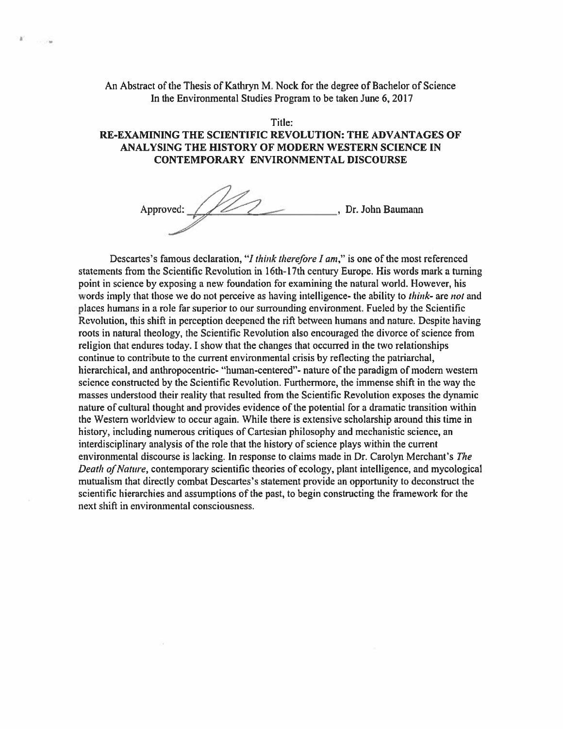## An Abstract of the Thesis of Kathryn M. Nock for the degree of Bachelor of Science In the Environmental Studies Program to be taken June 6, 2017

W)

## Title: RE-EXAMINING THE SCIENTIFIC REVOLUTION: THE ADVANTAGES OF ANALYSING THE HISTORY OF MODERN WESTERN SCIENCE IN **CONTEMPORARY ENVIRONMENTAL DISCOURSE**

Approved: 112  $\overline{\phantom{a}}$ , Dr. John Baumann

Descartes's famous declaration, "I think therefore I am," is one of the most referenced statements from the Scientific Revolution in 16th-17th century Europe. His words mark a turning point in science by exposing a new foundation for examining the natural world. However, his words imply that those we do not perceive as having intelligence- the ability to *think*- are *not* and places humans in a role far superior to our surrounding environment. Fueled by the Scientific Revolution, this shift in perception deepened the rift between humans and nature. Despite having roots in natural theology, the Scientific Revolution also encouraged the divorce of science from religion that endures today. I show that the changes that occurred in the two relationships continue to contribute to the current environmental crisis by reflecting the patriarchal, hierarchical, and anthropocentric- "human-centered"- nature of the paradigm of modern western science constructed by the Scientific Revolution. Furthermore, the immense shift in the way the masses understood their reality that resulted from the Scientific Revolution exposes the dynamic nature of cultural thought and provides evidence of the potential for a dramatic transition within the Western worldview to occur again. While there is extensive scholarship around this time in history, including numerous critiques of Cartesian philosophy and mechanistic science, an interdisciplinary analysis of the role that the history of science plays within the current environmental discourse is lacking. In response to claims made in Dr. Carolyn Merchant's The Death of Nature, contemporary scientific theories of ecology, plant intelligence, and mycological mutualism that directly combat Descartes's statement provide an opportunity to deconstruct the scientific hierarchies and assumptions of the past, to begin constructing the framework for the next shift in environmental consciousness.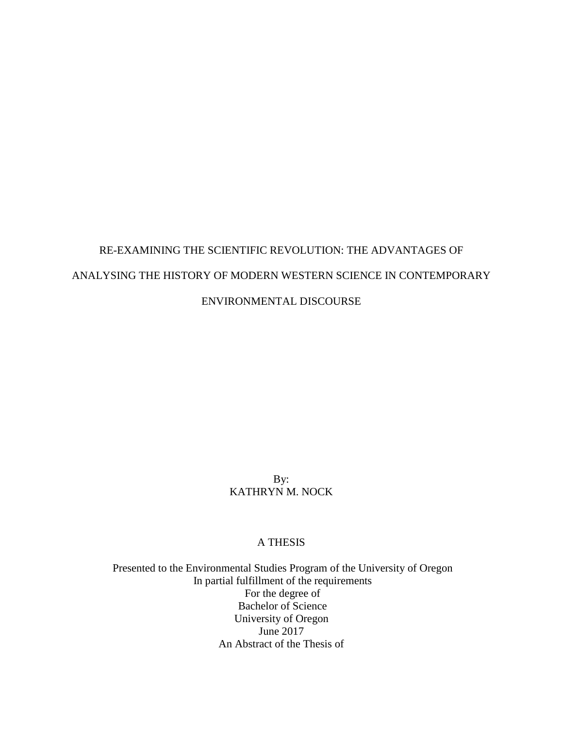# RE-EXAMINING THE SCIENTIFIC REVOLUTION: THE ADVANTAGES OF ANALYSING THE HISTORY OF MODERN WESTERN SCIENCE IN CONTEMPORARY ENVIRONMENTAL DISCOURSE

# By: KATHRYN M. NOCK

# A THESIS

Presented to the Environmental Studies Program of the University of Oregon In partial fulfillment of the requirements For the degree of Bachelor of Science University of Oregon June 2017 An Abstract of the Thesis of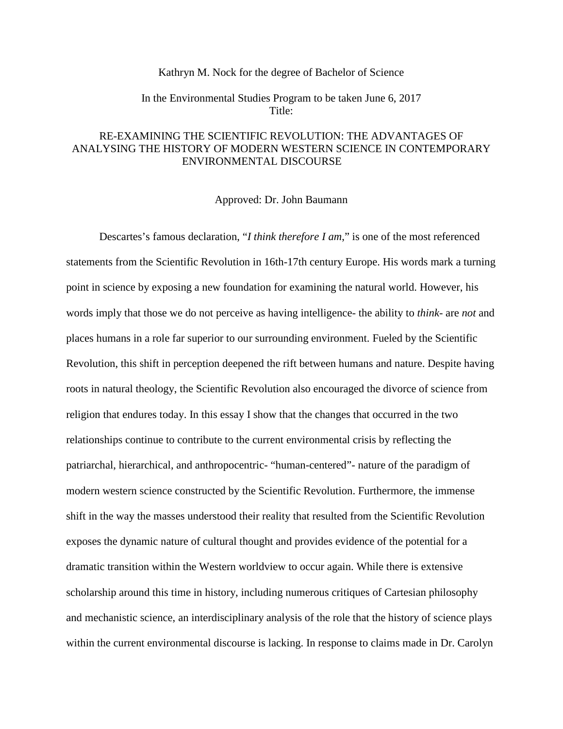#### Kathryn M. Nock for the degree of Bachelor of Science

## In the Environmental Studies Program to be taken June 6, 2017 Title:

# RE-EXAMINING THE SCIENTIFIC REVOLUTION: THE ADVANTAGES OF ANALYSING THE HISTORY OF MODERN WESTERN SCIENCE IN CONTEMPORARY ENVIRONMENTAL DISCOURSE

Approved: Dr. John Baumann

Descartes's famous declaration, "*I think therefore I am*," is one of the most referenced statements from the Scientific Revolution in 16th-17th century Europe. His words mark a turning point in science by exposing a new foundation for examining the natural world. However, his words imply that those we do not perceive as having intelligence- the ability to *think*- are *not* and places humans in a role far superior to our surrounding environment. Fueled by the Scientific Revolution, this shift in perception deepened the rift between humans and nature. Despite having roots in natural theology, the Scientific Revolution also encouraged the divorce of science from religion that endures today. In this essay I show that the changes that occurred in the two relationships continue to contribute to the current environmental crisis by reflecting the patriarchal, hierarchical, and anthropocentric- "human-centered"- nature of the paradigm of modern western science constructed by the Scientific Revolution. Furthermore, the immense shift in the way the masses understood their reality that resulted from the Scientific Revolution exposes the dynamic nature of cultural thought and provides evidence of the potential for a dramatic transition within the Western worldview to occur again. While there is extensive scholarship around this time in history, including numerous critiques of Cartesian philosophy and mechanistic science, an interdisciplinary analysis of the role that the history of science plays within the current environmental discourse is lacking. In response to claims made in Dr. Carolyn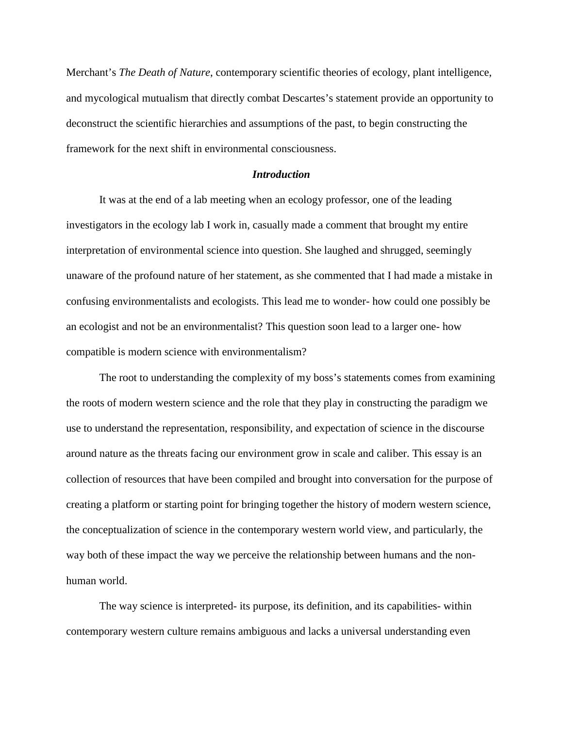Merchant's *The Death of Nature*, contemporary scientific theories of ecology, plant intelligence, and mycological mutualism that directly combat Descartes's statement provide an opportunity to deconstruct the scientific hierarchies and assumptions of the past, to begin constructing the framework for the next shift in environmental consciousness.

## *Introduction*

It was at the end of a lab meeting when an ecology professor, one of the leading investigators in the ecology lab I work in, casually made a comment that brought my entire interpretation of environmental science into question. She laughed and shrugged, seemingly unaware of the profound nature of her statement, as she commented that I had made a mistake in confusing environmentalists and ecologists. This lead me to wonder- how could one possibly be an ecologist and not be an environmentalist? This question soon lead to a larger one- how compatible is modern science with environmentalism?

The root to understanding the complexity of my boss's statements comes from examining the roots of modern western science and the role that they play in constructing the paradigm we use to understand the representation, responsibility, and expectation of science in the discourse around nature as the threats facing our environment grow in scale and caliber. This essay is an collection of resources that have been compiled and brought into conversation for the purpose of creating a platform or starting point for bringing together the history of modern western science, the conceptualization of science in the contemporary western world view, and particularly, the way both of these impact the way we perceive the relationship between humans and the nonhuman world.

The way science is interpreted- its purpose, its definition, and its capabilities- within contemporary western culture remains ambiguous and lacks a universal understanding even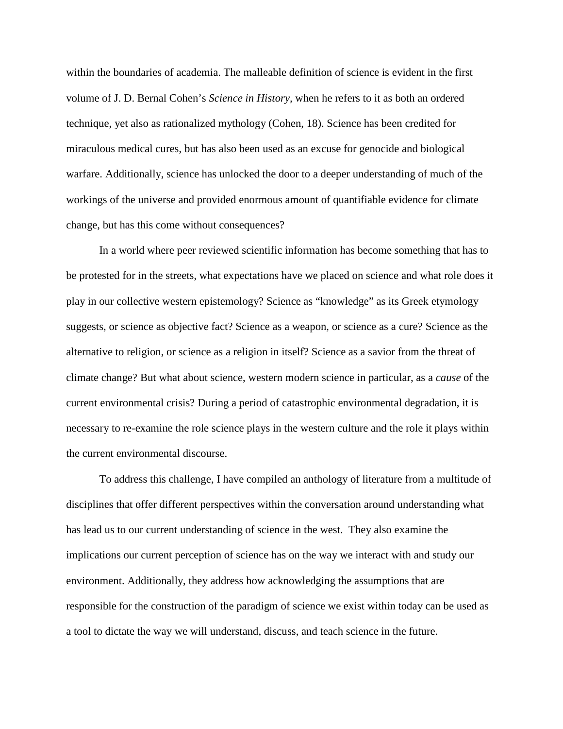within the boundaries of academia. The malleable definition of science is evident in the first volume of J. D. Bernal Cohen's *Science in History,* when he refers to it as both an ordered technique, yet also as rationalized mythology (Cohen, 18). Science has been credited for miraculous medical cures, but has also been used as an excuse for genocide and biological warfare. Additionally, science has unlocked the door to a deeper understanding of much of the workings of the universe and provided enormous amount of quantifiable evidence for climate change, but has this come without consequences?

In a world where peer reviewed scientific information has become something that has to be protested for in the streets, what expectations have we placed on science and what role does it play in our collective western epistemology? Science as "knowledge" as its Greek etymology suggests, or science as objective fact? Science as a weapon, or science as a cure? Science as the alternative to religion, or science as a religion in itself? Science as a savior from the threat of climate change? But what about science, western modern science in particular, as a *cause* of the current environmental crisis? During a period of catastrophic environmental degradation, it is necessary to re-examine the role science plays in the western culture and the role it plays within the current environmental discourse.

To address this challenge, I have compiled an anthology of literature from a multitude of disciplines that offer different perspectives within the conversation around understanding what has lead us to our current understanding of science in the west. They also examine the implications our current perception of science has on the way we interact with and study our environment. Additionally, they address how acknowledging the assumptions that are responsible for the construction of the paradigm of science we exist within today can be used as a tool to dictate the way we will understand, discuss, and teach science in the future.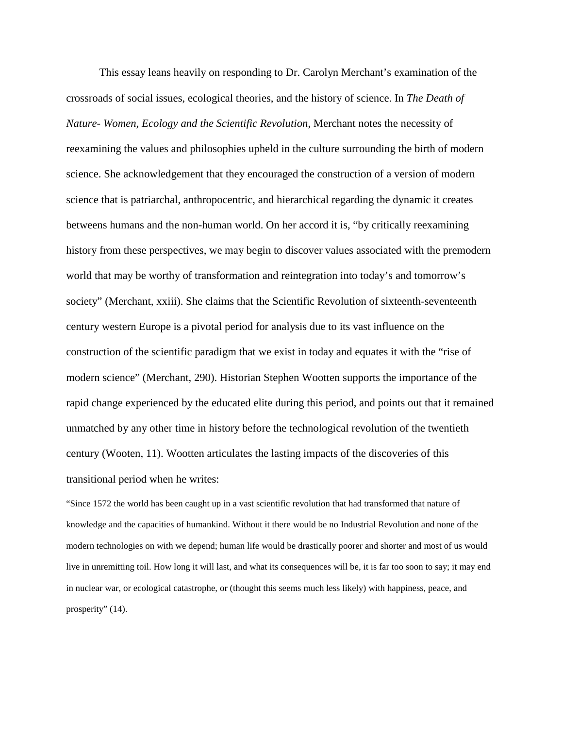This essay leans heavily on responding to Dr. Carolyn Merchant's examination of the crossroads of social issues, ecological theories, and the history of science. In *The Death of Nature- Women, Ecology and the Scientific Revolution*, Merchant notes the necessity of reexamining the values and philosophies upheld in the culture surrounding the birth of modern science. She acknowledgement that they encouraged the construction of a version of modern science that is patriarchal, anthropocentric, and hierarchical regarding the dynamic it creates betweens humans and the non-human world. On her accord it is, "by critically reexamining history from these perspectives, we may begin to discover values associated with the premodern world that may be worthy of transformation and reintegration into today's and tomorrow's society" (Merchant, xxiii). She claims that the Scientific Revolution of sixteenth-seventeenth century western Europe is a pivotal period for analysis due to its vast influence on the construction of the scientific paradigm that we exist in today and equates it with the "rise of modern science" (Merchant, 290). Historian Stephen Wootten supports the importance of the rapid change experienced by the educated elite during this period, and points out that it remained unmatched by any other time in history before the technological revolution of the twentieth century (Wooten, 11). Wootten articulates the lasting impacts of the discoveries of this transitional period when he writes:

"Since 1572 the world has been caught up in a vast scientific revolution that had transformed that nature of knowledge and the capacities of humankind. Without it there would be no Industrial Revolution and none of the modern technologies on with we depend; human life would be drastically poorer and shorter and most of us would live in unremitting toil. How long it will last, and what its consequences will be, it is far too soon to say; it may end in nuclear war, or ecological catastrophe, or (thought this seems much less likely) with happiness, peace, and prosperity" (14).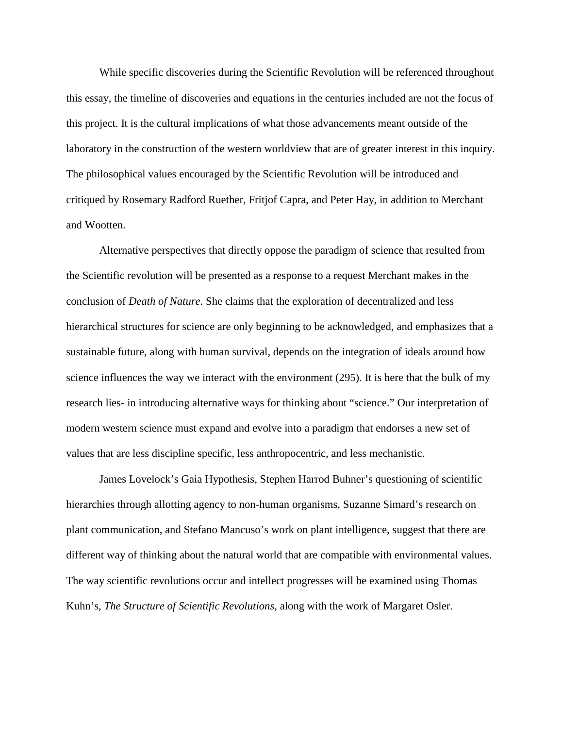While specific discoveries during the Scientific Revolution will be referenced throughout this essay, the timeline of discoveries and equations in the centuries included are not the focus of this project. It is the cultural implications of what those advancements meant outside of the laboratory in the construction of the western worldview that are of greater interest in this inquiry. The philosophical values encouraged by the Scientific Revolution will be introduced and critiqued by Rosemary Radford Ruether, Fritjof Capra, and Peter Hay, in addition to Merchant and Wootten.

Alternative perspectives that directly oppose the paradigm of science that resulted from the Scientific revolution will be presented as a response to a request Merchant makes in the conclusion of *Death of Nature*. She claims that the exploration of decentralized and less hierarchical structures for science are only beginning to be acknowledged, and emphasizes that a sustainable future, along with human survival, depends on the integration of ideals around how science influences the way we interact with the environment (295). It is here that the bulk of my research lies- in introducing alternative ways for thinking about "science." Our interpretation of modern western science must expand and evolve into a paradigm that endorses a new set of values that are less discipline specific, less anthropocentric, and less mechanistic.

James Lovelock's Gaia Hypothesis, Stephen Harrod Buhner's questioning of scientific hierarchies through allotting agency to non-human organisms, Suzanne Simard's research on plant communication, and Stefano Mancuso's work on plant intelligence, suggest that there are different way of thinking about the natural world that are compatible with environmental values. The way scientific revolutions occur and intellect progresses will be examined using Thomas Kuhn's, *The Structure of Scientific Revolutions,* along with the work of Margaret Osler.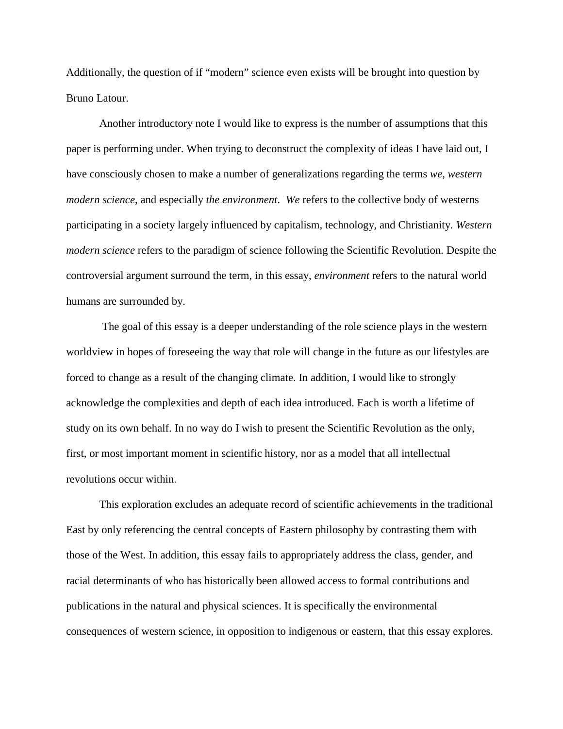Additionally, the question of if "modern" science even exists will be brought into question by Bruno Latour.

Another introductory note I would like to express is the number of assumptions that this paper is performing under. When trying to deconstruct the complexity of ideas I have laid out, I have consciously chosen to make a number of generalizations regarding the terms *we*, *western modern science*, and especially *the environment*. *We* refers to the collective body of westerns participating in a society largely influenced by capitalism, technology, and Christianity. *Western modern science* refers to the paradigm of science following the Scientific Revolution. Despite the controversial argument surround the term, in this essay, *environment* refers to the natural world humans are surrounded by.

The goal of this essay is a deeper understanding of the role science plays in the western worldview in hopes of foreseeing the way that role will change in the future as our lifestyles are forced to change as a result of the changing climate. In addition, I would like to strongly acknowledge the complexities and depth of each idea introduced. Each is worth a lifetime of study on its own behalf. In no way do I wish to present the Scientific Revolution as the only, first, or most important moment in scientific history, nor as a model that all intellectual revolutions occur within.

This exploration excludes an adequate record of scientific achievements in the traditional East by only referencing the central concepts of Eastern philosophy by contrasting them with those of the West. In addition, this essay fails to appropriately address the class, gender, and racial determinants of who has historically been allowed access to formal contributions and publications in the natural and physical sciences. It is specifically the environmental consequences of western science, in opposition to indigenous or eastern, that this essay explores.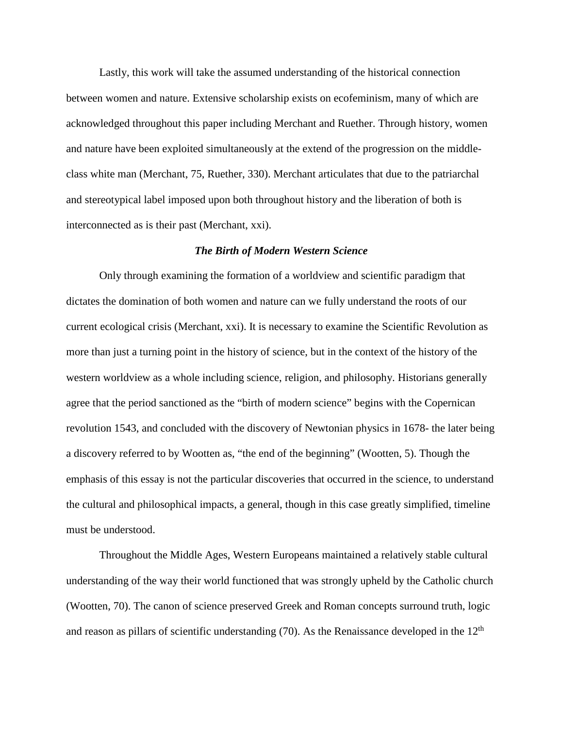Lastly, this work will take the assumed understanding of the historical connection between women and nature. Extensive scholarship exists on ecofeminism, many of which are acknowledged throughout this paper including Merchant and Ruether. Through history, women and nature have been exploited simultaneously at the extend of the progression on the middleclass white man (Merchant, 75, Ruether, 330). Merchant articulates that due to the patriarchal and stereotypical label imposed upon both throughout history and the liberation of both is interconnected as is their past (Merchant, xxi).

#### *The Birth of Modern Western Science*

Only through examining the formation of a worldview and scientific paradigm that dictates the domination of both women and nature can we fully understand the roots of our current ecological crisis (Merchant, xxi). It is necessary to examine the Scientific Revolution as more than just a turning point in the history of science, but in the context of the history of the western worldview as a whole including science, religion, and philosophy. Historians generally agree that the period sanctioned as the "birth of modern science" begins with the Copernican revolution 1543, and concluded with the discovery of Newtonian physics in 1678- the later being a discovery referred to by Wootten as, "the end of the beginning" (Wootten, 5). Though the emphasis of this essay is not the particular discoveries that occurred in the science, to understand the cultural and philosophical impacts, a general, though in this case greatly simplified, timeline must be understood.

Throughout the Middle Ages, Western Europeans maintained a relatively stable cultural understanding of the way their world functioned that was strongly upheld by the Catholic church (Wootten, 70). The canon of science preserved Greek and Roman concepts surround truth, logic and reason as pillars of scientific understanding  $(70)$ . As the Renaissance developed in the  $12<sup>th</sup>$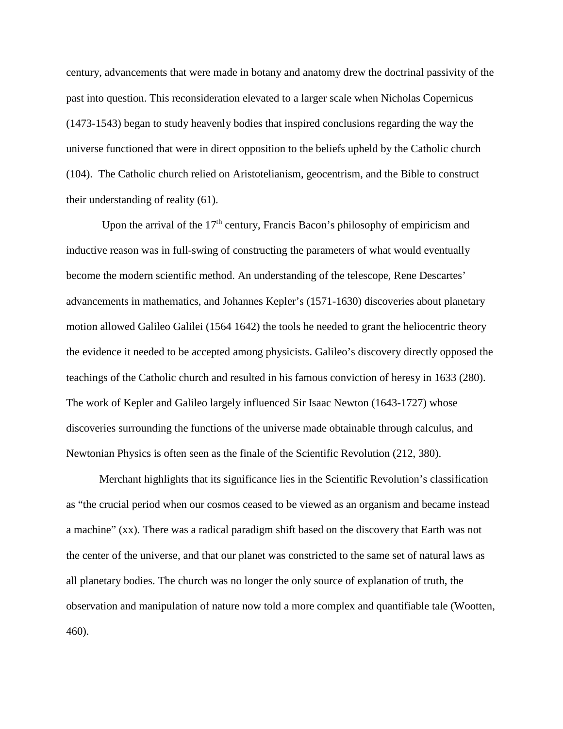century, advancements that were made in botany and anatomy drew the doctrinal passivity of the past into question. This reconsideration elevated to a larger scale when Nicholas Copernicus (1473-1543) began to study heavenly bodies that inspired conclusions regarding the way the universe functioned that were in direct opposition to the beliefs upheld by the Catholic church (104). The Catholic church relied on Aristotelianism, geocentrism, and the Bible to construct their understanding of reality (61).

Upon the arrival of the  $17<sup>th</sup>$  century, Francis Bacon's philosophy of empiricism and inductive reason was in full-swing of constructing the parameters of what would eventually become the modern scientific method. An understanding of the telescope, Rene Descartes' advancements in mathematics, and Johannes Kepler's (1571-1630) discoveries about planetary motion allowed Galileo Galilei (1564 1642) the tools he needed to grant the heliocentric theory the evidence it needed to be accepted among physicists. Galileo's discovery directly opposed the teachings of the Catholic church and resulted in his famous conviction of heresy in 1633 (280). The work of Kepler and Galileo largely influenced Sir Isaac Newton (1643-1727) whose discoveries surrounding the functions of the universe made obtainable through calculus, and Newtonian Physics is often seen as the finale of the Scientific Revolution (212, 380).

Merchant highlights that its significance lies in the Scientific Revolution's classification as "the crucial period when our cosmos ceased to be viewed as an organism and became instead a machine" (xx). There was a radical paradigm shift based on the discovery that Earth was not the center of the universe, and that our planet was constricted to the same set of natural laws as all planetary bodies. The church was no longer the only source of explanation of truth, the observation and manipulation of nature now told a more complex and quantifiable tale (Wootten, 460).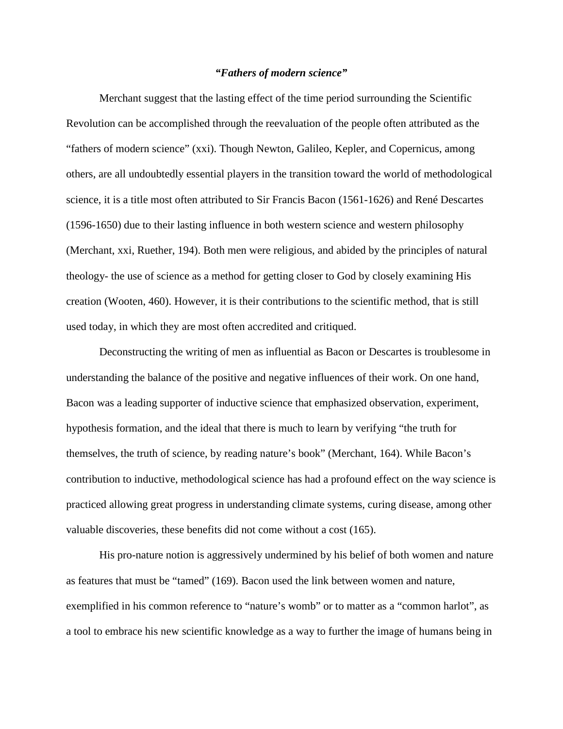## *"Fathers of modern science"*

Merchant suggest that the lasting effect of the time period surrounding the Scientific Revolution can be accomplished through the reevaluation of the people often attributed as the "fathers of modern science" (xxi). Though Newton, Galileo, Kepler, and Copernicus, among others, are all undoubtedly essential players in the transition toward the world of methodological science, it is a title most often attributed to Sir Francis Bacon (1561-1626) and René Descartes (1596-1650) due to their lasting influence in both western science and western philosophy (Merchant, xxi, Ruether, 194). Both men were religious, and abided by the principles of natural theology- the use of science as a method for getting closer to God by closely examining His creation (Wooten, 460). However, it is their contributions to the scientific method, that is still used today, in which they are most often accredited and critiqued.

Deconstructing the writing of men as influential as Bacon or Descartes is troublesome in understanding the balance of the positive and negative influences of their work. On one hand, Bacon was a leading supporter of inductive science that emphasized observation, experiment, hypothesis formation, and the ideal that there is much to learn by verifying "the truth for themselves, the truth of science, by reading nature's book" (Merchant, 164). While Bacon's contribution to inductive, methodological science has had a profound effect on the way science is practiced allowing great progress in understanding climate systems, curing disease, among other valuable discoveries, these benefits did not come without a cost (165).

His pro-nature notion is aggressively undermined by his belief of both women and nature as features that must be "tamed" (169). Bacon used the link between women and nature, exemplified in his common reference to "nature's womb" or to matter as a "common harlot", as a tool to embrace his new scientific knowledge as a way to further the image of humans being in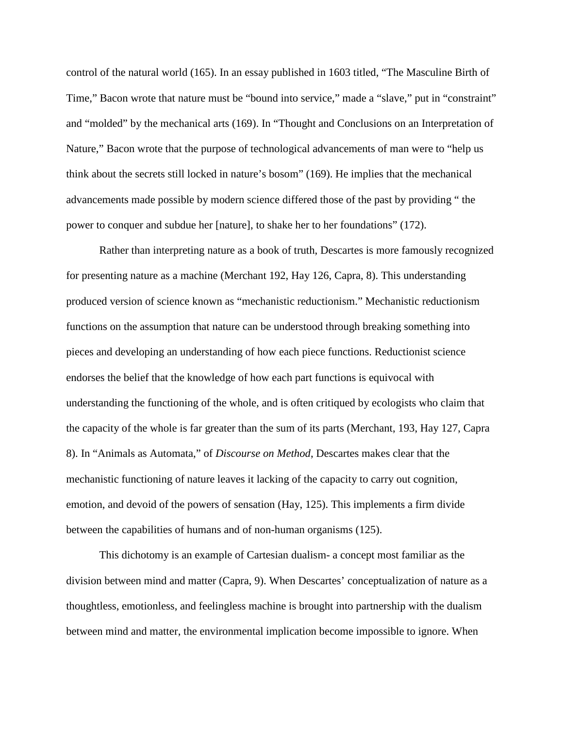control of the natural world (165). In an essay published in 1603 titled, "The Masculine Birth of Time," Bacon wrote that nature must be "bound into service," made a "slave," put in "constraint" and "molded" by the mechanical arts (169). In "Thought and Conclusions on an Interpretation of Nature," Bacon wrote that the purpose of technological advancements of man were to "help us think about the secrets still locked in nature's bosom" (169). He implies that the mechanical advancements made possible by modern science differed those of the past by providing " the power to conquer and subdue her [nature], to shake her to her foundations" (172).

Rather than interpreting nature as a book of truth, Descartes is more famously recognized for presenting nature as a machine (Merchant 192, Hay 126, Capra, 8). This understanding produced version of science known as "mechanistic reductionism." Mechanistic reductionism functions on the assumption that nature can be understood through breaking something into pieces and developing an understanding of how each piece functions. Reductionist science endorses the belief that the knowledge of how each part functions is equivocal with understanding the functioning of the whole, and is often critiqued by ecologists who claim that the capacity of the whole is far greater than the sum of its parts (Merchant, 193, Hay 127, Capra 8). In "Animals as Automata," of *Discourse on Method*, Descartes makes clear that the mechanistic functioning of nature leaves it lacking of the capacity to carry out cognition, emotion, and devoid of the powers of sensation (Hay, 125). This implements a firm divide between the capabilities of humans and of non-human organisms (125).

This dichotomy is an example of Cartesian dualism- a concept most familiar as the division between mind and matter (Capra, 9). When Descartes' conceptualization of nature as a thoughtless, emotionless, and feelingless machine is brought into partnership with the dualism between mind and matter, the environmental implication become impossible to ignore. When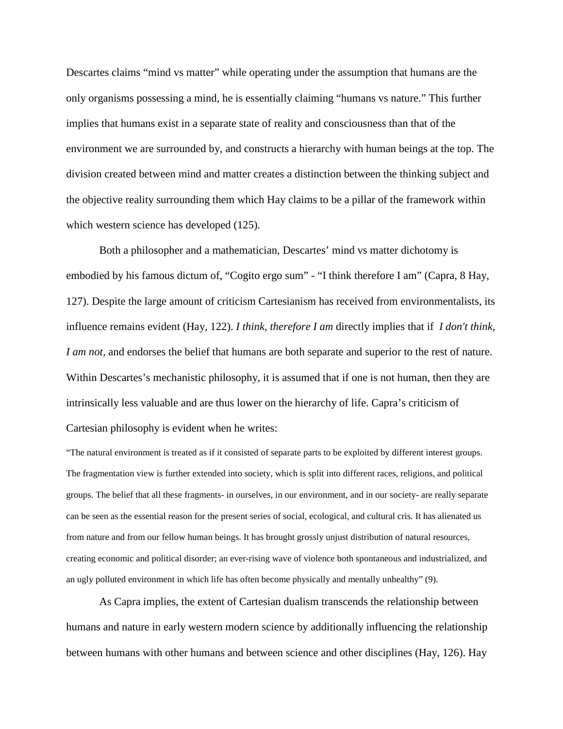Descartes claims "mind vs matter" while operating under the assumption that humans are the only organisms possessing a mind, he is essentially claiming "humans vs nature." This further implies that humans exist in a separate state of reality and consciousness than that of the environment we are surrounded by, and constructs a hierarchy with human beings at the top. The division created between mind and matter creates a distinction between the thinking subject and the objective reality surrounding them which Hay claims to be a pillar of the framework within which western science has developed  $(125)$ .

Both a philosopher and a mathematician, Descartes' mind vs matter dichotomy is embodied by his famous dictum of, "Cogito ergo sum" - "I think therefore I am" (Capra, 8 Hay, 127). Despite the large amount of criticism Cartesianism has received from environmentalists, its influence remains evident (Hay, 122). *I think, therefore I am* directly implies that if *I don't think, I am not,* and endorses the belief that humans are both separate and superior to the rest of nature. Within Descartes's mechanistic philosophy, it is assumed that if one is not human, then they are intrinsically less valuable and are thus lower on the hierarchy of life. Capra's criticism of Cartesian philosophy is evident when he writes:

"The natural environment is treated as if it consisted of separate parts to be exploited by different interest groups. The fragmentation view is further extended into society, which is split into different races, religions, and political groups. The belief that all these fragments- in ourselves, in our environment, and in our society- are really separate can be seen as the essential reason for the present series of social, ecological, and cultural cris. It has alienated us from nature and from our fellow human beings. It has brought grossly unjust distribution of natural resources, creating economic and political disorder; an ever-rising wave of violence both spontaneous and industrialized, and an ugly polluted environment in which life has often become physically and mentally unhealthy" (9).

As Capra implies, the extent of Cartesian dualism transcends the relationship between humans and nature in early western modern science by additionally influencing the relationship between humans with other humans and between science and other disciplines (Hay, 126). Hay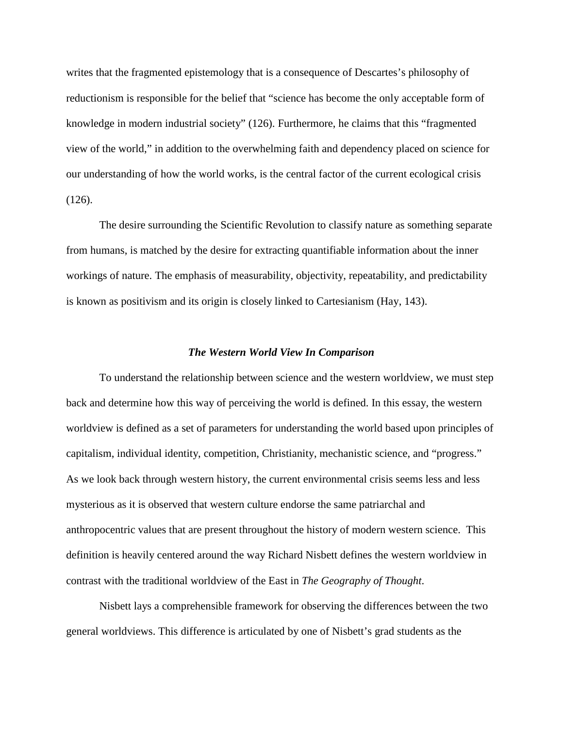writes that the fragmented epistemology that is a consequence of Descartes's philosophy of reductionism is responsible for the belief that "science has become the only acceptable form of knowledge in modern industrial society" (126). Furthermore, he claims that this "fragmented view of the world," in addition to the overwhelming faith and dependency placed on science for our understanding of how the world works, is the central factor of the current ecological crisis (126).

The desire surrounding the Scientific Revolution to classify nature as something separate from humans, is matched by the desire for extracting quantifiable information about the inner workings of nature. The emphasis of measurability, objectivity, repeatability, and predictability is known as positivism and its origin is closely linked to Cartesianism (Hay, 143).

#### *The Western World View In Comparison*

To understand the relationship between science and the western worldview, we must step back and determine how this way of perceiving the world is defined. In this essay, the western worldview is defined as a set of parameters for understanding the world based upon principles of capitalism, individual identity, competition, Christianity, mechanistic science, and "progress." As we look back through western history, the current environmental crisis seems less and less mysterious as it is observed that western culture endorse the same patriarchal and anthropocentric values that are present throughout the history of modern western science. This definition is heavily centered around the way Richard Nisbett defines the western worldview in contrast with the traditional worldview of the East in *The Geography of Thought*.

Nisbett lays a comprehensible framework for observing the differences between the two general worldviews. This difference is articulated by one of Nisbett's grad students as the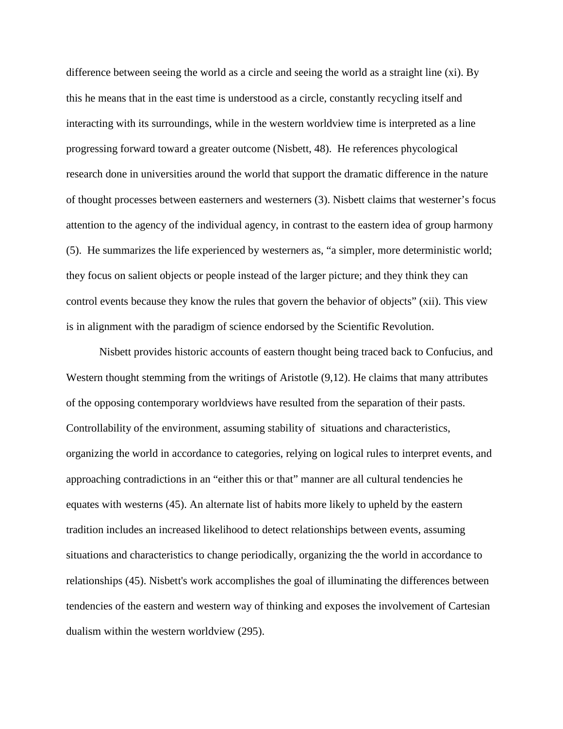difference between seeing the world as a circle and seeing the world as a straight line (xi). By this he means that in the east time is understood as a circle, constantly recycling itself and interacting with its surroundings, while in the western worldview time is interpreted as a line progressing forward toward a greater outcome (Nisbett, 48). He references phycological research done in universities around the world that support the dramatic difference in the nature of thought processes between easterners and westerners (3). Nisbett claims that westerner's focus attention to the agency of the individual agency, in contrast to the eastern idea of group harmony (5). He summarizes the life experienced by westerners as, "a simpler, more deterministic world; they focus on salient objects or people instead of the larger picture; and they think they can control events because they know the rules that govern the behavior of objects" (xii). This view is in alignment with the paradigm of science endorsed by the Scientific Revolution.

Nisbett provides historic accounts of eastern thought being traced back to Confucius, and Western thought stemming from the writings of Aristotle (9,12). He claims that many attributes of the opposing contemporary worldviews have resulted from the separation of their pasts. Controllability of the environment, assuming stability of situations and characteristics, organizing the world in accordance to categories, relying on logical rules to interpret events, and approaching contradictions in an "either this or that" manner are all cultural tendencies he equates with westerns (45). An alternate list of habits more likely to upheld by the eastern tradition includes an increased likelihood to detect relationships between events, assuming situations and characteristics to change periodically, organizing the the world in accordance to relationships (45). Nisbett's work accomplishes the goal of illuminating the differences between tendencies of the eastern and western way of thinking and exposes the involvement of Cartesian dualism within the western worldview (295).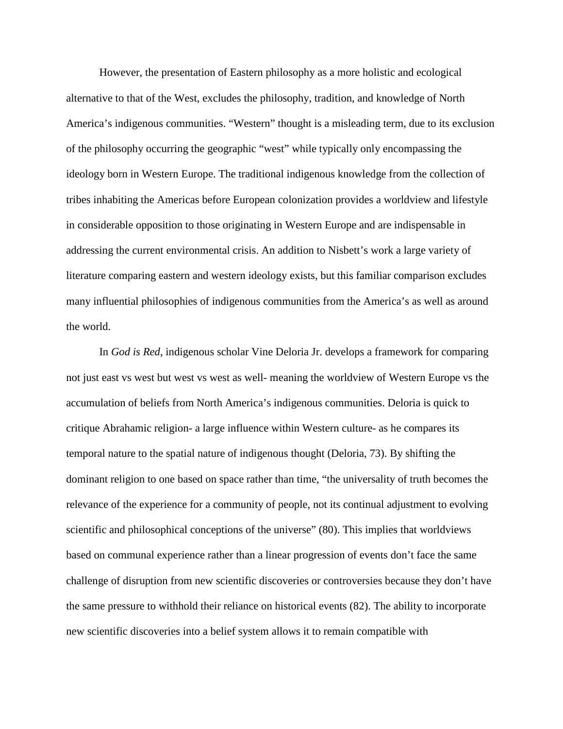However, the presentation of Eastern philosophy as a more holistic and ecological alternative to that of the West, excludes the philosophy, tradition, and knowledge of North America's indigenous communities. "Western" thought is a misleading term, due to its exclusion of the philosophy occurring the geographic "west" while typically only encompassing the ideology born in Western Europe. The traditional indigenous knowledge from the collection of tribes inhabiting the Americas before European colonization provides a worldview and lifestyle in considerable opposition to those originating in Western Europe and are indispensable in addressing the current environmental crisis. An addition to Nisbett's work a large variety of literature comparing eastern and western ideology exists, but this familiar comparison excludes many influential philosophies of indigenous communities from the America's as well as around the world.

In *God is Red*, indigenous scholar Vine Deloria Jr. develops a framework for comparing not just east vs west but west vs west as well- meaning the worldview of Western Europe vs the accumulation of beliefs from North America's indigenous communities. Deloria is quick to critique Abrahamic religion- a large influence within Western culture- as he compares its temporal nature to the spatial nature of indigenous thought (Deloria, 73). By shifting the dominant religion to one based on space rather than time, "the universality of truth becomes the relevance of the experience for a community of people, not its continual adjustment to evolving scientific and philosophical conceptions of the universe" (80). This implies that worldviews based on communal experience rather than a linear progression of events don't face the same challenge of disruption from new scientific discoveries or controversies because they don't have the same pressure to withhold their reliance on historical events (82). The ability to incorporate new scientific discoveries into a belief system allows it to remain compatible with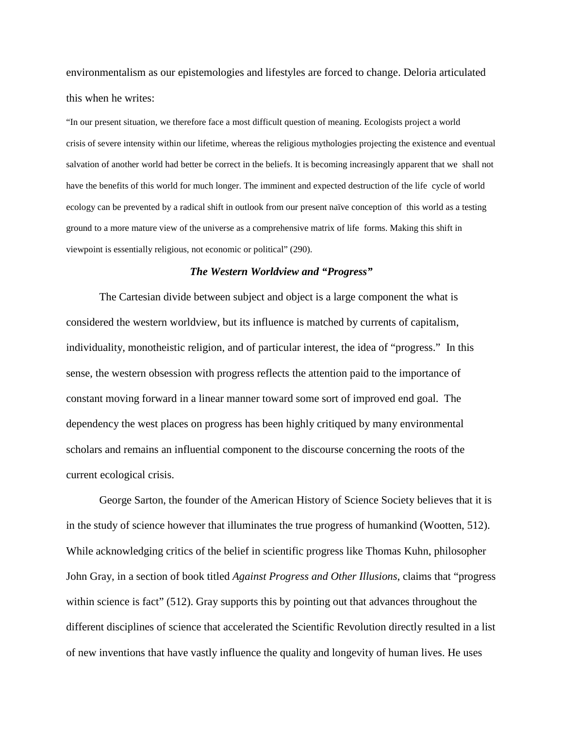environmentalism as our epistemologies and lifestyles are forced to change. Deloria articulated this when he writes:

"In our present situation, we therefore face a most difficult question of meaning. Ecologists project a world crisis of severe intensity within our lifetime, whereas the religious mythologies projecting the existence and eventual salvation of another world had better be correct in the beliefs. It is becoming increasingly apparent that we shall not have the benefits of this world for much longer. The imminent and expected destruction of the life cycle of world ecology can be prevented by a radical shift in outlook from our present naïve conception of this world as a testing ground to a more mature view of the universe as a comprehensive matrix of life forms. Making this shift in viewpoint is essentially religious, not economic or political" (290).

#### *The Western Worldview and "Progress"*

The Cartesian divide between subject and object is a large component the what is considered the western worldview, but its influence is matched by currents of capitalism, individuality, monotheistic religion, and of particular interest, the idea of "progress." In this sense, the western obsession with progress reflects the attention paid to the importance of constant moving forward in a linear manner toward some sort of improved end goal. The dependency the west places on progress has been highly critiqued by many environmental scholars and remains an influential component to the discourse concerning the roots of the current ecological crisis.

George Sarton, the founder of the American History of Science Society believes that it is in the study of science however that illuminates the true progress of humankind (Wootten, 512). While acknowledging critics of the belief in scientific progress like Thomas Kuhn, philosopher John Gray, in a section of book titled *Against Progress and Other Illusions*, claims that "progress within science is fact" (512). Gray supports this by pointing out that advances throughout the different disciplines of science that accelerated the Scientific Revolution directly resulted in a list of new inventions that have vastly influence the quality and longevity of human lives. He uses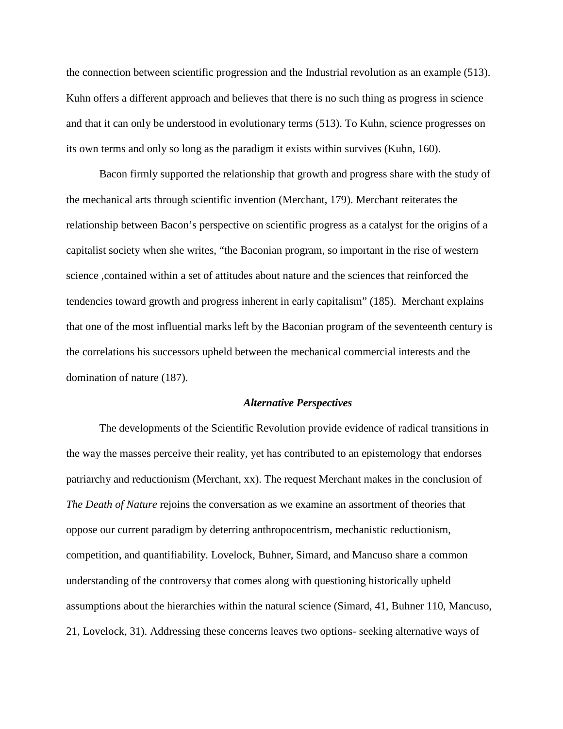the connection between scientific progression and the Industrial revolution as an example (513). Kuhn offers a different approach and believes that there is no such thing as progress in science and that it can only be understood in evolutionary terms (513). To Kuhn, science progresses on its own terms and only so long as the paradigm it exists within survives (Kuhn, 160).

Bacon firmly supported the relationship that growth and progress share with the study of the mechanical arts through scientific invention (Merchant, 179). Merchant reiterates the relationship between Bacon's perspective on scientific progress as a catalyst for the origins of a capitalist society when she writes, "the Baconian program, so important in the rise of western science ,contained within a set of attitudes about nature and the sciences that reinforced the tendencies toward growth and progress inherent in early capitalism" (185). Merchant explains that one of the most influential marks left by the Baconian program of the seventeenth century is the correlations his successors upheld between the mechanical commercial interests and the domination of nature (187).

#### *Alternative Perspectives*

The developments of the Scientific Revolution provide evidence of radical transitions in the way the masses perceive their reality, yet has contributed to an epistemology that endorses patriarchy and reductionism (Merchant, xx). The request Merchant makes in the conclusion of *The Death of Nature* rejoins the conversation as we examine an assortment of theories that oppose our current paradigm by deterring anthropocentrism, mechanistic reductionism, competition, and quantifiability. Lovelock, Buhner, Simard, and Mancuso share a common understanding of the controversy that comes along with questioning historically upheld assumptions about the hierarchies within the natural science (Simard, 41, Buhner 110, Mancuso, 21, Lovelock, 31). Addressing these concerns leaves two options- seeking alternative ways of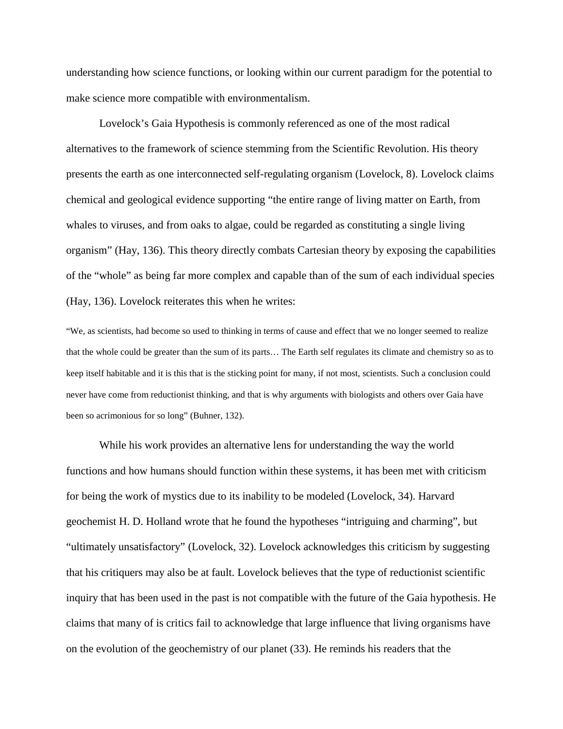understanding how science functions, or looking within our current paradigm for the potential to make science more compatible with environmentalism.

Lovelock's Gaia Hypothesis is commonly referenced as one of the most radical alternatives to the framework of science stemming from the Scientific Revolution. His theory presents the earth as one interconnected self-regulating organism (Lovelock, 8). Lovelock claims chemical and geological evidence supporting "the entire range of living matter on Earth, from whales to viruses, and from oaks to algae, could be regarded as constituting a single living organism" (Hay, 136). This theory directly combats Cartesian theory by exposing the capabilities of the "whole" as being far more complex and capable than of the sum of each individual species (Hay, 136). Lovelock reiterates this when he writes:

"We, as scientists, had become so used to thinking in terms of cause and effect that we no longer seemed to realize that the whole could be greater than the sum of its parts… The Earth self regulates its climate and chemistry so as to keep itself habitable and it is this that is the sticking point for many, if not most, scientists. Such a conclusion could never have come from reductionist thinking, and that is why arguments with biologists and others over Gaia have been so acrimonious for so long" (Buhner, 132).

While his work provides an alternative lens for understanding the way the world functions and how humans should function within these systems, it has been met with criticism for being the work of mystics due to its inability to be modeled (Lovelock, 34). Harvard geochemist H. D. Holland wrote that he found the hypotheses "intriguing and charming", but "ultimately unsatisfactory" (Lovelock, 32). Lovelock acknowledges this criticism by suggesting that his critiquers may also be at fault. Lovelock believes that the type of reductionist scientific inquiry that has been used in the past is not compatible with the future of the Gaia hypothesis. He claims that many of is critics fail to acknowledge that large influence that living organisms have on the evolution of the geochemistry of our planet (33). He reminds his readers that the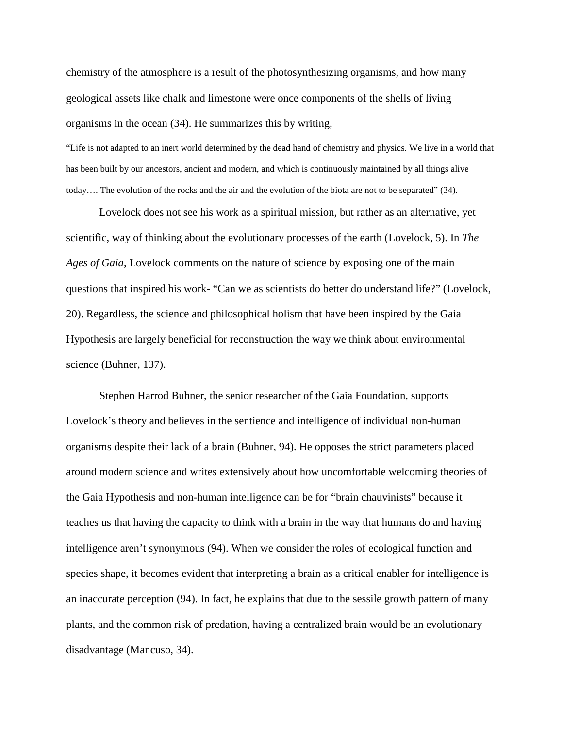chemistry of the atmosphere is a result of the photosynthesizing organisms, and how many geological assets like chalk and limestone were once components of the shells of living organisms in the ocean (34). He summarizes this by writing,

"Life is not adapted to an inert world determined by the dead hand of chemistry and physics. We live in a world that has been built by our ancestors, ancient and modern, and which is continuously maintained by all things alive today…. The evolution of the rocks and the air and the evolution of the biota are not to be separated" (34).

Lovelock does not see his work as a spiritual mission, but rather as an alternative, yet scientific, way of thinking about the evolutionary processes of the earth (Lovelock, 5). In *The Ages of Gaia*, Lovelock comments on the nature of science by exposing one of the main questions that inspired his work- "Can we as scientists do better do understand life?" (Lovelock, 20). Regardless, the science and philosophical holism that have been inspired by the Gaia Hypothesis are largely beneficial for reconstruction the way we think about environmental science (Buhner, 137).

Stephen Harrod Buhner, the senior researcher of the Gaia Foundation, supports Lovelock's theory and believes in the sentience and intelligence of individual non-human organisms despite their lack of a brain (Buhner, 94). He opposes the strict parameters placed around modern science and writes extensively about how uncomfortable welcoming theories of the Gaia Hypothesis and non-human intelligence can be for "brain chauvinists" because it teaches us that having the capacity to think with a brain in the way that humans do and having intelligence aren't synonymous (94). When we consider the roles of ecological function and species shape, it becomes evident that interpreting a brain as a critical enabler for intelligence is an inaccurate perception (94). In fact, he explains that due to the sessile growth pattern of many plants, and the common risk of predation, having a centralized brain would be an evolutionary disadvantage (Mancuso, 34).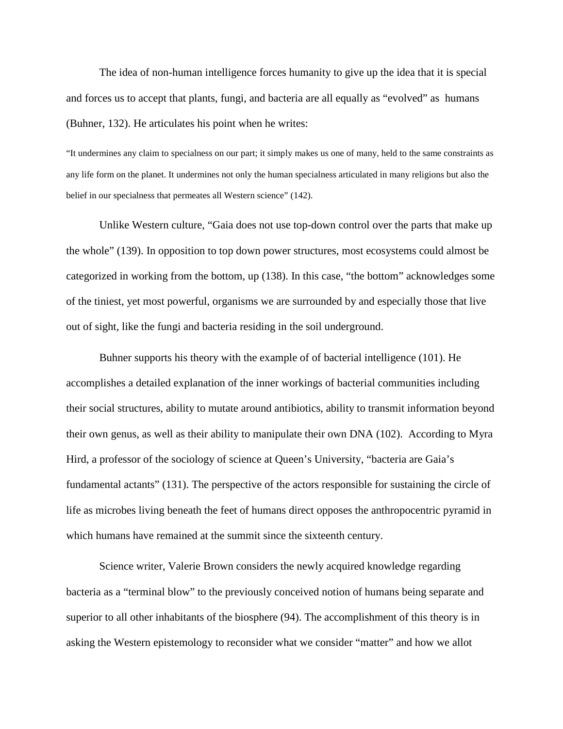The idea of non-human intelligence forces humanity to give up the idea that it is special and forces us to accept that plants, fungi, and bacteria are all equally as "evolved" as humans (Buhner, 132). He articulates his point when he writes:

"It undermines any claim to specialness on our part; it simply makes us one of many, held to the same constraints as any life form on the planet. It undermines not only the human specialness articulated in many religions but also the belief in our specialness that permeates all Western science" (142).

Unlike Western culture, "Gaia does not use top-down control over the parts that make up the whole" (139). In opposition to top down power structures, most ecosystems could almost be categorized in working from the bottom, up (138). In this case, "the bottom" acknowledges some of the tiniest, yet most powerful, organisms we are surrounded by and especially those that live out of sight, like the fungi and bacteria residing in the soil underground.

Buhner supports his theory with the example of of bacterial intelligence (101). He accomplishes a detailed explanation of the inner workings of bacterial communities including their social structures, ability to mutate around antibiotics, ability to transmit information beyond their own genus, as well as their ability to manipulate their own DNA (102). According to Myra Hird, a professor of the sociology of science at Queen's University, "bacteria are Gaia's fundamental actants" (131). The perspective of the actors responsible for sustaining the circle of life as microbes living beneath the feet of humans direct opposes the anthropocentric pyramid in which humans have remained at the summit since the sixteenth century.

Science writer, Valerie Brown considers the newly acquired knowledge regarding bacteria as a "terminal blow" to the previously conceived notion of humans being separate and superior to all other inhabitants of the biosphere (94). The accomplishment of this theory is in asking the Western epistemology to reconsider what we consider "matter" and how we allot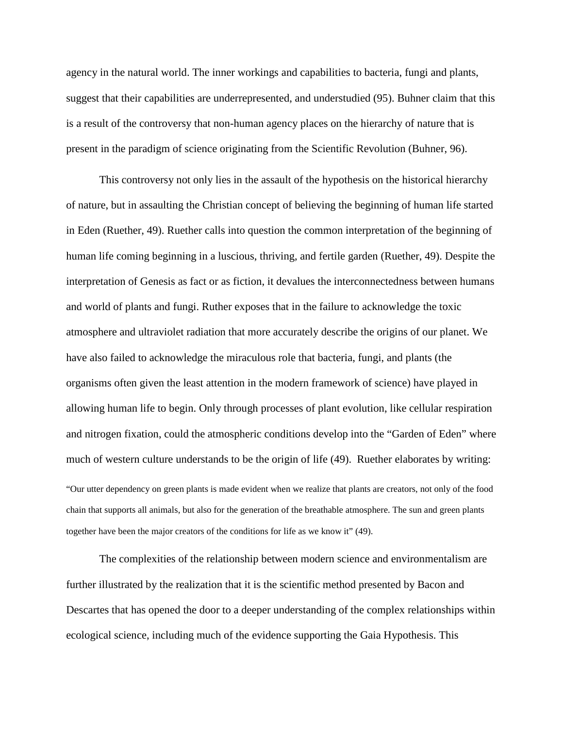agency in the natural world. The inner workings and capabilities to bacteria, fungi and plants, suggest that their capabilities are underrepresented, and understudied (95). Buhner claim that this is a result of the controversy that non-human agency places on the hierarchy of nature that is present in the paradigm of science originating from the Scientific Revolution (Buhner, 96).

This controversy not only lies in the assault of the hypothesis on the historical hierarchy of nature, but in assaulting the Christian concept of believing the beginning of human life started in Eden (Ruether, 49). Ruether calls into question the common interpretation of the beginning of human life coming beginning in a luscious, thriving, and fertile garden (Ruether, 49). Despite the interpretation of Genesis as fact or as fiction, it devalues the interconnectedness between humans and world of plants and fungi. Ruther exposes that in the failure to acknowledge the toxic atmosphere and ultraviolet radiation that more accurately describe the origins of our planet. We have also failed to acknowledge the miraculous role that bacteria, fungi, and plants (the organisms often given the least attention in the modern framework of science) have played in allowing human life to begin. Only through processes of plant evolution, like cellular respiration and nitrogen fixation, could the atmospheric conditions develop into the "Garden of Eden" where much of western culture understands to be the origin of life (49). Ruether elaborates by writing:

"Our utter dependency on green plants is made evident when we realize that plants are creators, not only of the food chain that supports all animals, but also for the generation of the breathable atmosphere. The sun and green plants together have been the major creators of the conditions for life as we know it" (49).

The complexities of the relationship between modern science and environmentalism are further illustrated by the realization that it is the scientific method presented by Bacon and Descartes that has opened the door to a deeper understanding of the complex relationships within ecological science, including much of the evidence supporting the Gaia Hypothesis. This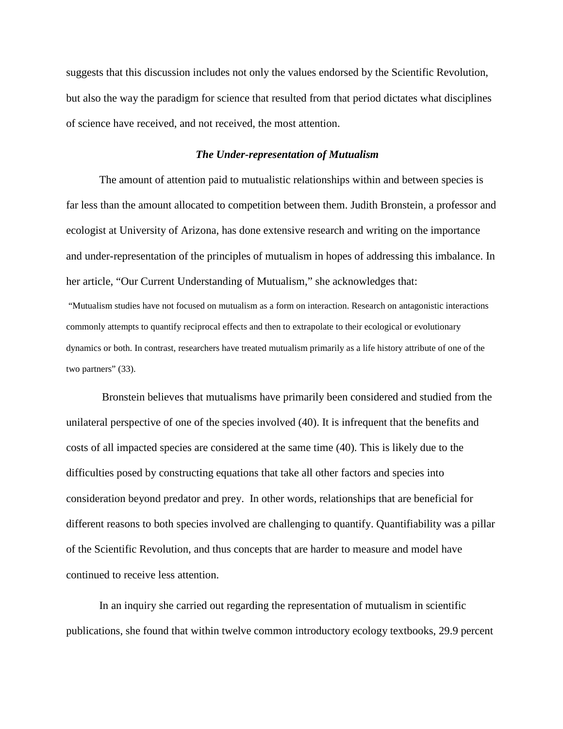suggests that this discussion includes not only the values endorsed by the Scientific Revolution, but also the way the paradigm for science that resulted from that period dictates what disciplines of science have received, and not received, the most attention.

#### *The Under-representation of Mutualism*

The amount of attention paid to mutualistic relationships within and between species is far less than the amount allocated to competition between them. Judith Bronstein, a professor and ecologist at University of Arizona, has done extensive research and writing on the importance and under-representation of the principles of mutualism in hopes of addressing this imbalance. In her article, "Our Current Understanding of Mutualism," she acknowledges that:

"Mutualism studies have not focused on mutualism as a form on interaction. Research on antagonistic interactions commonly attempts to quantify reciprocal effects and then to extrapolate to their ecological or evolutionary dynamics or both. In contrast, researchers have treated mutualism primarily as a life history attribute of one of the two partners" (33).

Bronstein believes that mutualisms have primarily been considered and studied from the unilateral perspective of one of the species involved (40). It is infrequent that the benefits and costs of all impacted species are considered at the same time (40). This is likely due to the difficulties posed by constructing equations that take all other factors and species into consideration beyond predator and prey. In other words, relationships that are beneficial for different reasons to both species involved are challenging to quantify. Quantifiability was a pillar of the Scientific Revolution, and thus concepts that are harder to measure and model have continued to receive less attention.

In an inquiry she carried out regarding the representation of mutualism in scientific publications, she found that within twelve common introductory ecology textbooks, 29.9 percent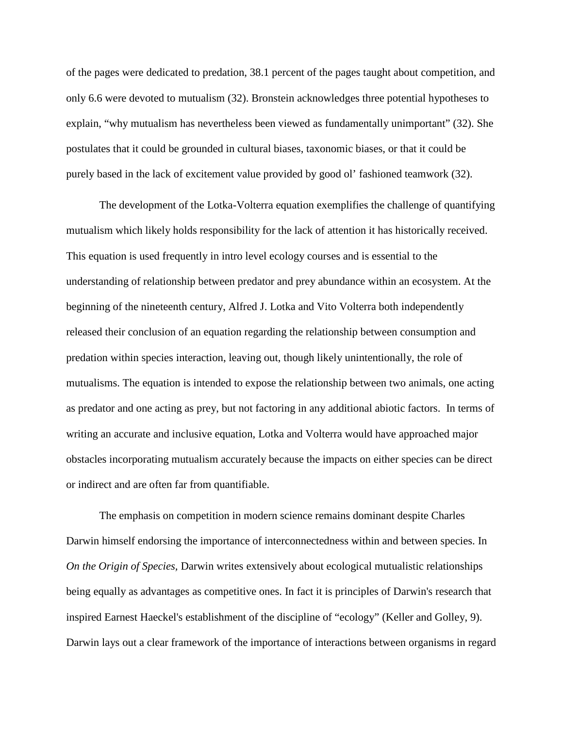of the pages were dedicated to predation, 38.1 percent of the pages taught about competition, and only 6.6 were devoted to mutualism (32). Bronstein acknowledges three potential hypotheses to explain, "why mutualism has nevertheless been viewed as fundamentally unimportant" (32). She postulates that it could be grounded in cultural biases, taxonomic biases, or that it could be purely based in the lack of excitement value provided by good ol' fashioned teamwork (32).

The development of the Lotka-Volterra equation exemplifies the challenge of quantifying mutualism which likely holds responsibility for the lack of attention it has historically received. This equation is used frequently in intro level ecology courses and is essential to the understanding of relationship between predator and prey abundance within an ecosystem. At the beginning of the nineteenth century, Alfred J. Lotka and Vito Volterra both independently released their conclusion of an equation regarding the relationship between consumption and predation within species interaction, leaving out, though likely unintentionally, the role of mutualisms. The equation is intended to expose the relationship between two animals, one acting as predator and one acting as prey, but not factoring in any additional abiotic factors. In terms of writing an accurate and inclusive equation, Lotka and Volterra would have approached major obstacles incorporating mutualism accurately because the impacts on either species can be direct or indirect and are often far from quantifiable.

The emphasis on competition in modern science remains dominant despite Charles Darwin himself endorsing the importance of interconnectedness within and between species. In *On the Origin of Species,* Darwin writes extensively about ecological mutualistic relationships being equally as advantages as competitive ones. In fact it is principles of Darwin's research that inspired Earnest Haeckel's establishment of the discipline of "ecology" (Keller and Golley, 9). Darwin lays out a clear framework of the importance of interactions between organisms in regard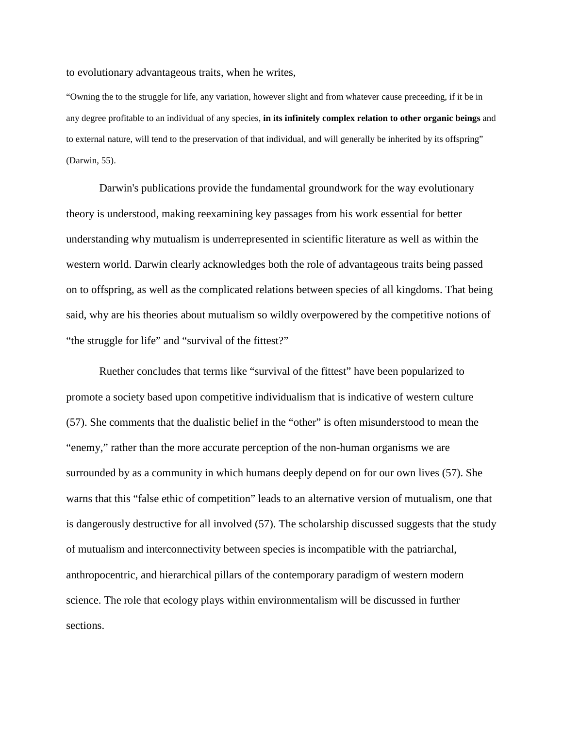to evolutionary advantageous traits, when he writes,

"Owning the to the struggle for life, any variation, however slight and from whatever cause preceeding, if it be in any degree profitable to an individual of any species, **in its infinitely complex relation to other organic beings** and to external nature, will tend to the preservation of that individual, and will generally be inherited by its offspring" (Darwin, 55).

Darwin's publications provide the fundamental groundwork for the way evolutionary theory is understood, making reexamining key passages from his work essential for better understanding why mutualism is underrepresented in scientific literature as well as within the western world. Darwin clearly acknowledges both the role of advantageous traits being passed on to offspring, as well as the complicated relations between species of all kingdoms. That being said, why are his theories about mutualism so wildly overpowered by the competitive notions of "the struggle for life" and "survival of the fittest?"

Ruether concludes that terms like "survival of the fittest" have been popularized to promote a society based upon competitive individualism that is indicative of western culture (57). She comments that the dualistic belief in the "other" is often misunderstood to mean the "enemy," rather than the more accurate perception of the non-human organisms we are surrounded by as a community in which humans deeply depend on for our own lives (57). She warns that this "false ethic of competition" leads to an alternative version of mutualism, one that is dangerously destructive for all involved (57). The scholarship discussed suggests that the study of mutualism and interconnectivity between species is incompatible with the patriarchal, anthropocentric, and hierarchical pillars of the contemporary paradigm of western modern science. The role that ecology plays within environmentalism will be discussed in further sections.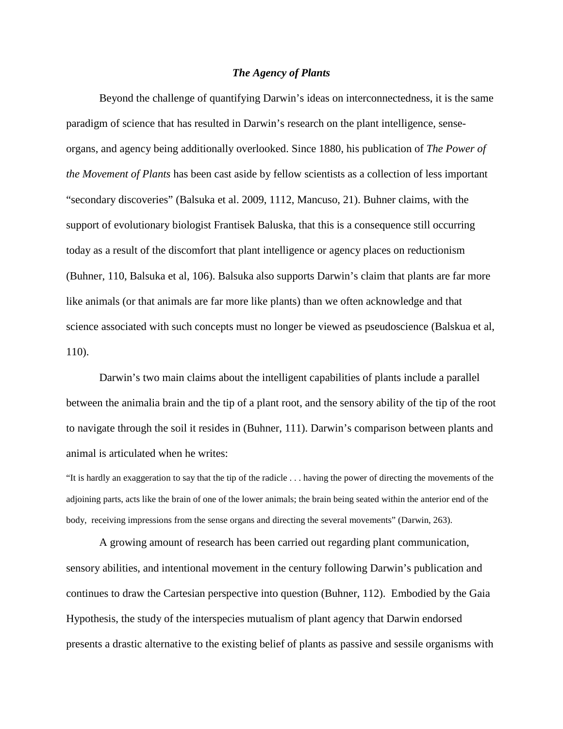## *The Agency of Plants*

Beyond the challenge of quantifying Darwin's ideas on interconnectedness, it is the same paradigm of science that has resulted in Darwin's research on the plant intelligence, senseorgans, and agency being additionally overlooked. Since 1880, his publication of *The Power of the Movement of Plants* has been cast aside by fellow scientists as a collection of less important "secondary discoveries" (Balsuka et al. 2009, 1112, Mancuso, 21). Buhner claims, with the support of evolutionary biologist Frantisek Baluska, that this is a consequence still occurring today as a result of the discomfort that plant intelligence or agency places on reductionism (Buhner, 110, Balsuka et al, 106). Balsuka also supports Darwin's claim that plants are far more like animals (or that animals are far more like plants) than we often acknowledge and that science associated with such concepts must no longer be viewed as pseudoscience (Balskua et al, 110).

Darwin's two main claims about the intelligent capabilities of plants include a parallel between the animalia brain and the tip of a plant root, and the sensory ability of the tip of the root to navigate through the soil it resides in (Buhner, 111). Darwin's comparison between plants and animal is articulated when he writes:

"It is hardly an exaggeration to say that the tip of the radicle . . . having the power of directing the movements of the adjoining parts, acts like the brain of one of the lower animals; the brain being seated within the anterior end of the body, receiving impressions from the sense organs and directing the several movements" (Darwin, 263).

A growing amount of research has been carried out regarding plant communication, sensory abilities, and intentional movement in the century following Darwin's publication and continues to draw the Cartesian perspective into question (Buhner, 112). Embodied by the Gaia Hypothesis, the study of the interspecies mutualism of plant agency that Darwin endorsed presents a drastic alternative to the existing belief of plants as passive and sessile organisms with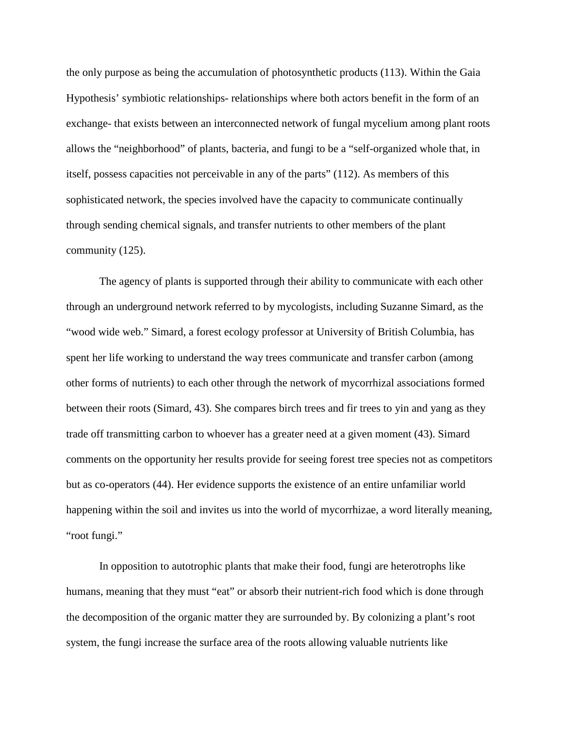the only purpose as being the accumulation of photosynthetic products (113). Within the Gaia Hypothesis' symbiotic relationships- relationships where both actors benefit in the form of an exchange- that exists between an interconnected network of fungal mycelium among plant roots allows the "neighborhood" of plants, bacteria, and fungi to be a "self-organized whole that, in itself, possess capacities not perceivable in any of the parts" (112). As members of this sophisticated network, the species involved have the capacity to communicate continually through sending chemical signals, and transfer nutrients to other members of the plant community (125).

The agency of plants is supported through their ability to communicate with each other through an underground network referred to by mycologists, including Suzanne Simard, as the "wood wide web." Simard, a forest ecology professor at University of British Columbia, has spent her life working to understand the way trees communicate and transfer carbon (among other forms of nutrients) to each other through the network of mycorrhizal associations formed between their roots (Simard, 43). She compares birch trees and fir trees to yin and yang as they trade off transmitting carbon to whoever has a greater need at a given moment (43). Simard comments on the opportunity her results provide for seeing forest tree species not as competitors but as co-operators (44). Her evidence supports the existence of an entire unfamiliar world happening within the soil and invites us into the world of mycorrhizae, a word literally meaning, "root fungi."

In opposition to autotrophic plants that make their food, fungi are heterotrophs like humans, meaning that they must "eat" or absorb their nutrient-rich food which is done through the decomposition of the organic matter they are surrounded by. By colonizing a plant's root system, the fungi increase the surface area of the roots allowing valuable nutrients like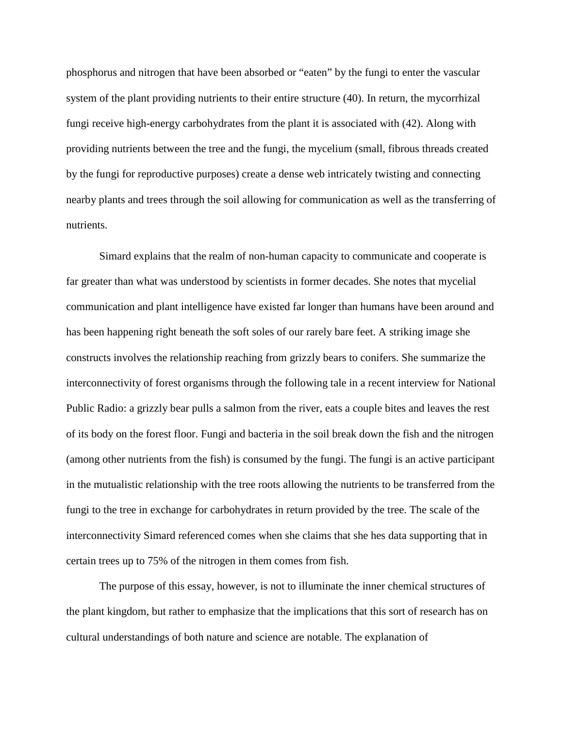phosphorus and nitrogen that have been absorbed or "eaten" by the fungi to enter the vascular system of the plant providing nutrients to their entire structure (40). In return, the mycorrhizal fungi receive high-energy carbohydrates from the plant it is associated with (42). Along with providing nutrients between the tree and the fungi, the mycelium (small, fibrous threads created by the fungi for reproductive purposes) create a dense web intricately twisting and connecting nearby plants and trees through the soil allowing for communication as well as the transferring of nutrients.

Simard explains that the realm of non-human capacity to communicate and cooperate is far greater than what was understood by scientists in former decades. She notes that mycelial communication and plant intelligence have existed far longer than humans have been around and has been happening right beneath the soft soles of our rarely bare feet. A striking image she constructs involves the relationship reaching from grizzly bears to conifers. She summarize the interconnectivity of forest organisms through the following tale in a recent interview for National Public Radio: a grizzly bear pulls a salmon from the river, eats a couple bites and leaves the rest of its body on the forest floor. Fungi and bacteria in the soil break down the fish and the nitrogen (among other nutrients from the fish) is consumed by the fungi. The fungi is an active participant in the mutualistic relationship with the tree roots allowing the nutrients to be transferred from the fungi to the tree in exchange for carbohydrates in return provided by the tree. The scale of the interconnectivity Simard referenced comes when she claims that she hes data supporting that in certain trees up to 75% of the nitrogen in them comes from fish.

The purpose of this essay, however, is not to illuminate the inner chemical structures of the plant kingdom, but rather to emphasize that the implications that this sort of research has on cultural understandings of both nature and science are notable. The explanation of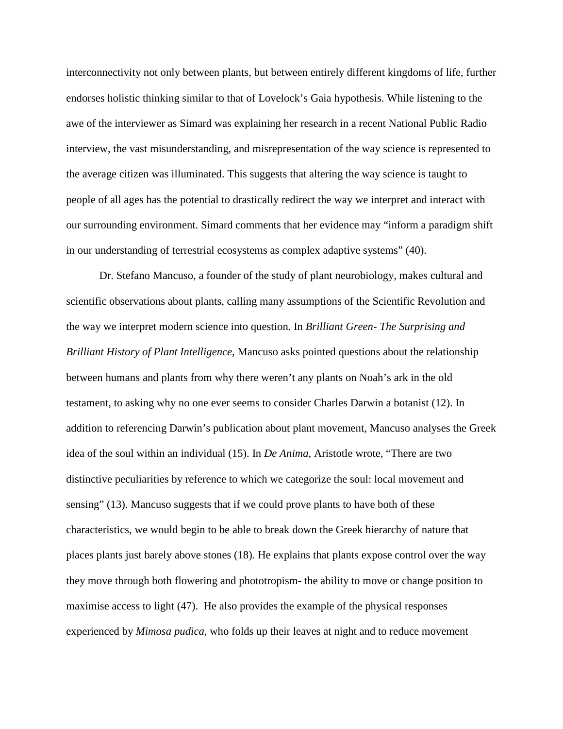interconnectivity not only between plants, but between entirely different kingdoms of life, further endorses holistic thinking similar to that of Lovelock's Gaia hypothesis. While listening to the awe of the interviewer as Simard was explaining her research in a recent National Public Radio interview, the vast misunderstanding, and misrepresentation of the way science is represented to the average citizen was illuminated. This suggests that altering the way science is taught to people of all ages has the potential to drastically redirect the way we interpret and interact with our surrounding environment. Simard comments that her evidence may "inform a paradigm shift in our understanding of terrestrial ecosystems as complex adaptive systems" (40).

Dr. Stefano Mancuso, a founder of the study of plant neurobiology, makes cultural and scientific observations about plants, calling many assumptions of the Scientific Revolution and the way we interpret modern science into question. In *Brilliant Green- The Surprising and Brilliant History of Plant Intelligence,* Mancuso asks pointed questions about the relationship between humans and plants from why there weren't any plants on Noah's ark in the old testament, to asking why no one ever seems to consider Charles Darwin a botanist (12). In addition to referencing Darwin's publication about plant movement, Mancuso analyses the Greek idea of the soul within an individual (15). In *De Anima*, Aristotle wrote, "There are two distinctive peculiarities by reference to which we categorize the soul: local movement and sensing" (13). Mancuso suggests that if we could prove plants to have both of these characteristics, we would begin to be able to break down the Greek hierarchy of nature that places plants just barely above stones (18). He explains that plants expose control over the way they move through both flowering and phototropism- the ability to move or change position to maximise access to light (47). He also provides the example of the physical responses experienced by *Mimosa pudica,* who folds up their leaves at night and to reduce movement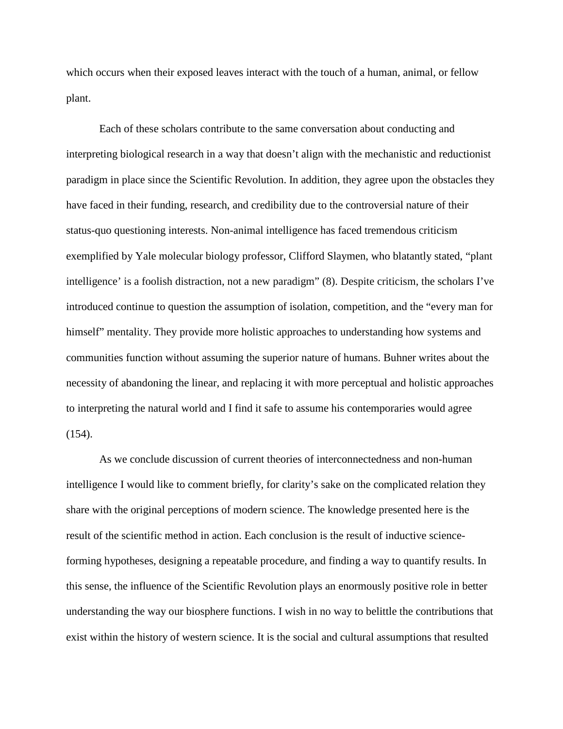which occurs when their exposed leaves interact with the touch of a human, animal, or fellow plant.

Each of these scholars contribute to the same conversation about conducting and interpreting biological research in a way that doesn't align with the mechanistic and reductionist paradigm in place since the Scientific Revolution. In addition, they agree upon the obstacles they have faced in their funding, research, and credibility due to the controversial nature of their status-quo questioning interests. Non-animal intelligence has faced tremendous criticism exemplified by Yale molecular biology professor, Clifford Slaymen, who blatantly stated, "plant intelligence' is a foolish distraction, not a new paradigm" (8). Despite criticism, the scholars I've introduced continue to question the assumption of isolation, competition, and the "every man for himself" mentality. They provide more holistic approaches to understanding how systems and communities function without assuming the superior nature of humans. Buhner writes about the necessity of abandoning the linear, and replacing it with more perceptual and holistic approaches to interpreting the natural world and I find it safe to assume his contemporaries would agree (154).

As we conclude discussion of current theories of interconnectedness and non-human intelligence I would like to comment briefly, for clarity's sake on the complicated relation they share with the original perceptions of modern science. The knowledge presented here is the result of the scientific method in action. Each conclusion is the result of inductive scienceforming hypotheses, designing a repeatable procedure, and finding a way to quantify results. In this sense, the influence of the Scientific Revolution plays an enormously positive role in better understanding the way our biosphere functions. I wish in no way to belittle the contributions that exist within the history of western science. It is the social and cultural assumptions that resulted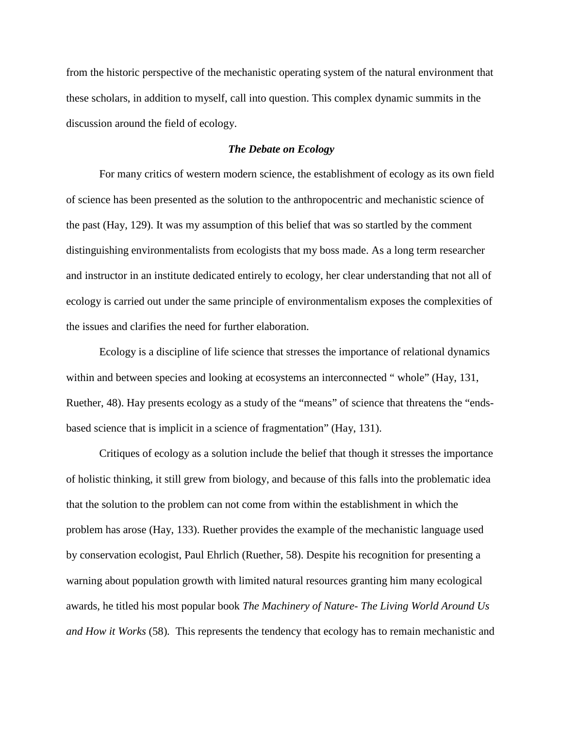from the historic perspective of the mechanistic operating system of the natural environment that these scholars, in addition to myself, call into question. This complex dynamic summits in the discussion around the field of ecology.

## *The Debate on Ecology*

For many critics of western modern science, the establishment of ecology as its own field of science has been presented as the solution to the anthropocentric and mechanistic science of the past (Hay, 129). It was my assumption of this belief that was so startled by the comment distinguishing environmentalists from ecologists that my boss made. As a long term researcher and instructor in an institute dedicated entirely to ecology, her clear understanding that not all of ecology is carried out under the same principle of environmentalism exposes the complexities of the issues and clarifies the need for further elaboration.

Ecology is a discipline of life science that stresses the importance of relational dynamics within and between species and looking at ecosystems an interconnected " whole" (Hay, 131, Ruether, 48). Hay presents ecology as a study of the "means" of science that threatens the "endsbased science that is implicit in a science of fragmentation" (Hay, 131).

Critiques of ecology as a solution include the belief that though it stresses the importance of holistic thinking, it still grew from biology, and because of this falls into the problematic idea that the solution to the problem can not come from within the establishment in which the problem has arose (Hay, 133). Ruether provides the example of the mechanistic language used by conservation ecologist, Paul Ehrlich (Ruether, 58). Despite his recognition for presenting a warning about population growth with limited natural resources granting him many ecological awards, he titled his most popular book *The Machinery of Nature- The Living World Around Us and How it Works* (58)*.* This represents the tendency that ecology has to remain mechanistic and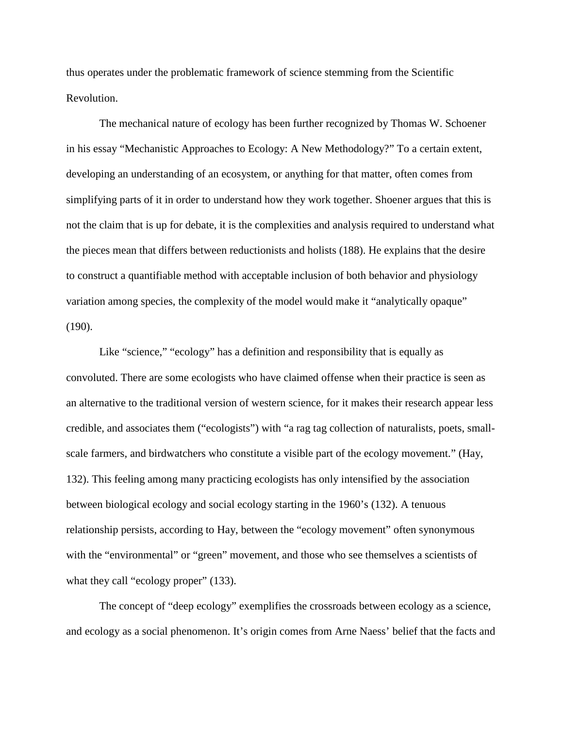thus operates under the problematic framework of science stemming from the Scientific Revolution.

The mechanical nature of ecology has been further recognized by Thomas W. Schoener in his essay "Mechanistic Approaches to Ecology: A New Methodology?" To a certain extent, developing an understanding of an ecosystem, or anything for that matter, often comes from simplifying parts of it in order to understand how they work together. Shoener argues that this is not the claim that is up for debate, it is the complexities and analysis required to understand what the pieces mean that differs between reductionists and holists (188). He explains that the desire to construct a quantifiable method with acceptable inclusion of both behavior and physiology variation among species, the complexity of the model would make it "analytically opaque" (190).

Like "science," "ecology" has a definition and responsibility that is equally as convoluted. There are some ecologists who have claimed offense when their practice is seen as an alternative to the traditional version of western science, for it makes their research appear less credible, and associates them ("ecologists") with "a rag tag collection of naturalists, poets, smallscale farmers, and birdwatchers who constitute a visible part of the ecology movement." (Hay, 132). This feeling among many practicing ecologists has only intensified by the association between biological ecology and social ecology starting in the 1960's (132). A tenuous relationship persists, according to Hay, between the "ecology movement" often synonymous with the "environmental" or "green" movement, and those who see themselves a scientists of what they call "ecology proper" (133).

The concept of "deep ecology" exemplifies the crossroads between ecology as a science, and ecology as a social phenomenon. It's origin comes from Arne Naess' belief that the facts and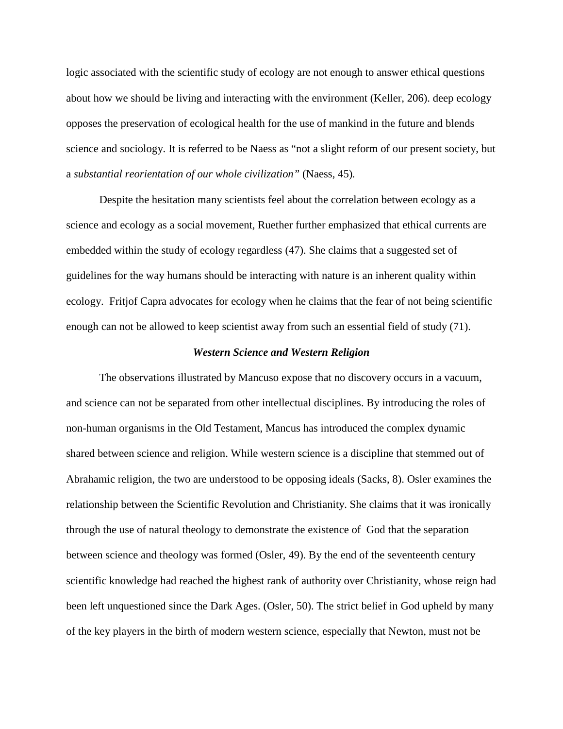logic associated with the scientific study of ecology are not enough to answer ethical questions about how we should be living and interacting with the environment (Keller, 206). deep ecology opposes the preservation of ecological health for the use of mankind in the future and blends science and sociology. It is referred to be Naess as "not a slight reform of our present society, but a *substantial reorientation of our whole civilization"* (Naess, 45)*.* 

Despite the hesitation many scientists feel about the correlation between ecology as a science and ecology as a social movement, Ruether further emphasized that ethical currents are embedded within the study of ecology regardless (47). She claims that a suggested set of guidelines for the way humans should be interacting with nature is an inherent quality within ecology. Fritjof Capra advocates for ecology when he claims that the fear of not being scientific enough can not be allowed to keep scientist away from such an essential field of study (71).

#### *Western Science and Western Religion*

The observations illustrated by Mancuso expose that no discovery occurs in a vacuum, and science can not be separated from other intellectual disciplines. By introducing the roles of non-human organisms in the Old Testament, Mancus has introduced the complex dynamic shared between science and religion. While western science is a discipline that stemmed out of Abrahamic religion, the two are understood to be opposing ideals (Sacks, 8). Osler examines the relationship between the Scientific Revolution and Christianity. She claims that it was ironically through the use of natural theology to demonstrate the existence of God that the separation between science and theology was formed (Osler, 49). By the end of the seventeenth century scientific knowledge had reached the highest rank of authority over Christianity, whose reign had been left unquestioned since the Dark Ages. (Osler, 50). The strict belief in God upheld by many of the key players in the birth of modern western science, especially that Newton, must not be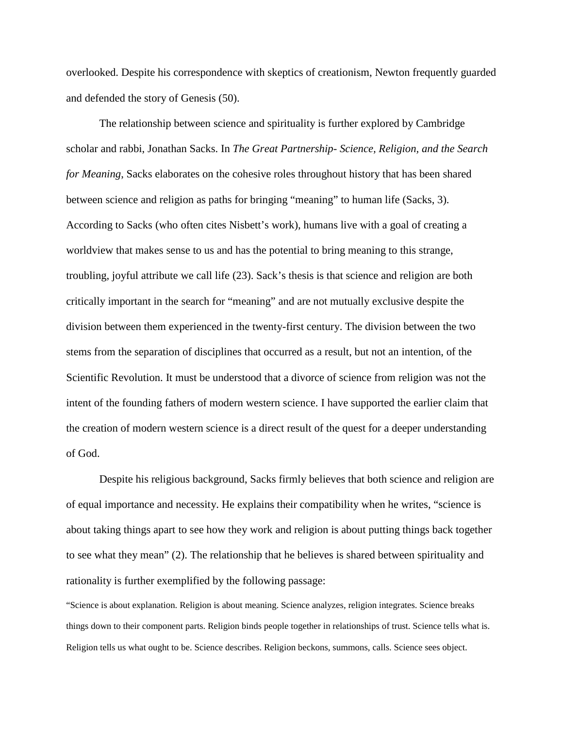overlooked. Despite his correspondence with skeptics of creationism, Newton frequently guarded and defended the story of Genesis (50).

The relationship between science and spirituality is further explored by Cambridge scholar and rabbi, Jonathan Sacks. In *The Great Partnership- Science, Religion, and the Search for Meaning*, Sacks elaborates on the cohesive roles throughout history that has been shared between science and religion as paths for bringing "meaning" to human life (Sacks, 3). According to Sacks (who often cites Nisbett's work), humans live with a goal of creating a worldview that makes sense to us and has the potential to bring meaning to this strange, troubling, joyful attribute we call life (23). Sack's thesis is that science and religion are both critically important in the search for "meaning" and are not mutually exclusive despite the division between them experienced in the twenty-first century. The division between the two stems from the separation of disciplines that occurred as a result, but not an intention, of the Scientific Revolution. It must be understood that a divorce of science from religion was not the intent of the founding fathers of modern western science. I have supported the earlier claim that the creation of modern western science is a direct result of the quest for a deeper understanding of God.

Despite his religious background, Sacks firmly believes that both science and religion are of equal importance and necessity. He explains their compatibility when he writes, "science is about taking things apart to see how they work and religion is about putting things back together to see what they mean" (2). The relationship that he believes is shared between spirituality and rationality is further exemplified by the following passage:

"Science is about explanation. Religion is about meaning. Science analyzes, religion integrates. Science breaks things down to their component parts. Religion binds people together in relationships of trust. Science tells what is. Religion tells us what ought to be. Science describes. Religion beckons, summons, calls. Science sees object.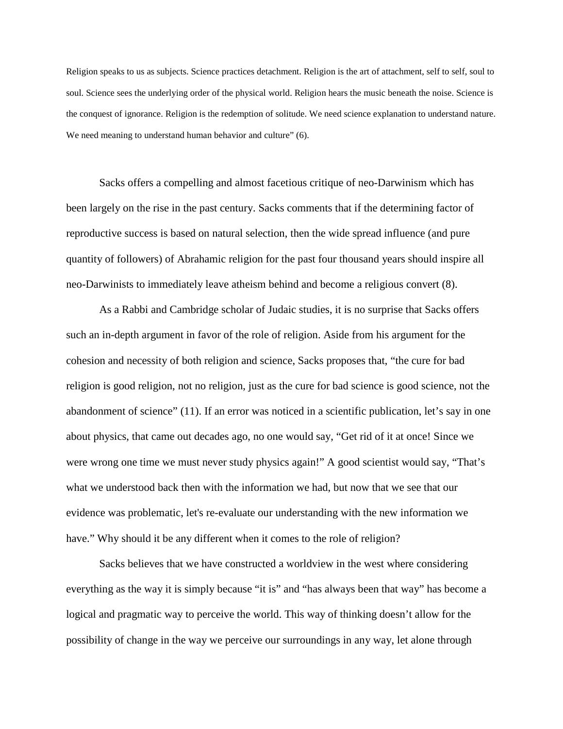Religion speaks to us as subjects. Science practices detachment. Religion is the art of attachment, self to self, soul to soul. Science sees the underlying order of the physical world. Religion hears the music beneath the noise. Science is the conquest of ignorance. Religion is the redemption of solitude. We need science explanation to understand nature. We need meaning to understand human behavior and culture" (6).

Sacks offers a compelling and almost facetious critique of neo-Darwinism which has been largely on the rise in the past century. Sacks comments that if the determining factor of reproductive success is based on natural selection, then the wide spread influence (and pure quantity of followers) of Abrahamic religion for the past four thousand years should inspire all neo-Darwinists to immediately leave atheism behind and become a religious convert (8).

As a Rabbi and Cambridge scholar of Judaic studies, it is no surprise that Sacks offers such an in-depth argument in favor of the role of religion. Aside from his argument for the cohesion and necessity of both religion and science, Sacks proposes that, "the cure for bad religion is good religion, not no religion, just as the cure for bad science is good science, not the abandonment of science" (11). If an error was noticed in a scientific publication, let's say in one about physics, that came out decades ago, no one would say, "Get rid of it at once! Since we were wrong one time we must never study physics again!" A good scientist would say, "That's what we understood back then with the information we had, but now that we see that our evidence was problematic, let's re-evaluate our understanding with the new information we have." Why should it be any different when it comes to the role of religion?

Sacks believes that we have constructed a worldview in the west where considering everything as the way it is simply because "it is" and "has always been that way" has become a logical and pragmatic way to perceive the world. This way of thinking doesn't allow for the possibility of change in the way we perceive our surroundings in any way, let alone through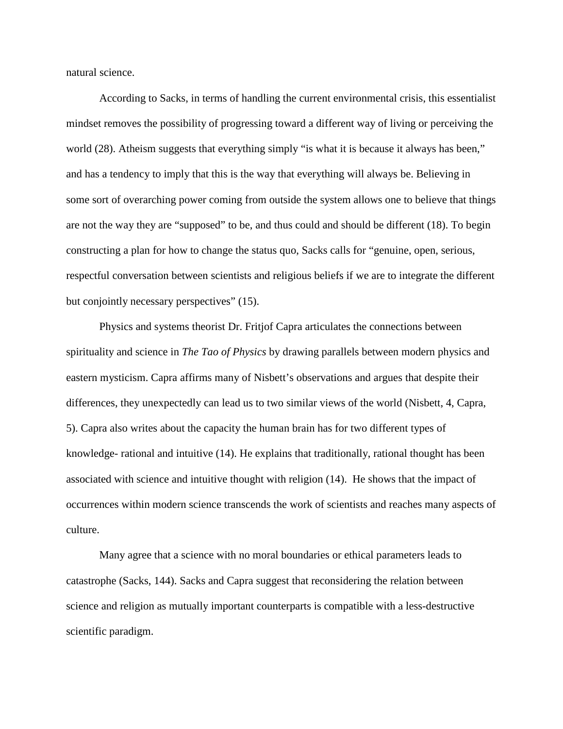natural science.

According to Sacks, in terms of handling the current environmental crisis, this essentialist mindset removes the possibility of progressing toward a different way of living or perceiving the world (28). Atheism suggests that everything simply "is what it is because it always has been," and has a tendency to imply that this is the way that everything will always be. Believing in some sort of overarching power coming from outside the system allows one to believe that things are not the way they are "supposed" to be, and thus could and should be different (18). To begin constructing a plan for how to change the status quo, Sacks calls for "genuine, open, serious, respectful conversation between scientists and religious beliefs if we are to integrate the different but conjointly necessary perspectives" (15).

Physics and systems theorist Dr. Fritjof Capra articulates the connections between spirituality and science in *The Tao of Physics* by drawing parallels between modern physics and eastern mysticism. Capra affirms many of Nisbett's observations and argues that despite their differences, they unexpectedly can lead us to two similar views of the world (Nisbett, 4, Capra, 5). Capra also writes about the capacity the human brain has for two different types of knowledge- rational and intuitive (14). He explains that traditionally, rational thought has been associated with science and intuitive thought with religion (14). He shows that the impact of occurrences within modern science transcends the work of scientists and reaches many aspects of culture.

Many agree that a science with no moral boundaries or ethical parameters leads to catastrophe (Sacks, 144). Sacks and Capra suggest that reconsidering the relation between science and religion as mutually important counterparts is compatible with a less-destructive scientific paradigm.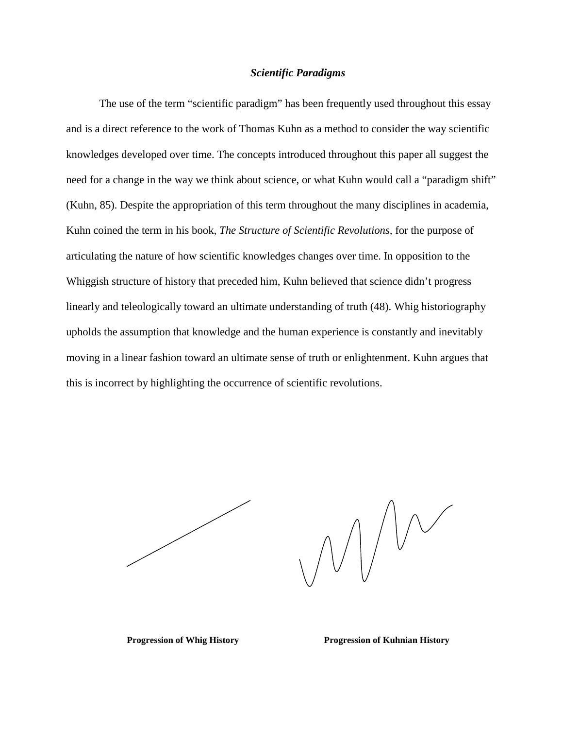## *Scientific Paradigms*

The use of the term "scientific paradigm" has been frequently used throughout this essay and is a direct reference to the work of Thomas Kuhn as a method to consider the way scientific knowledges developed over time. The concepts introduced throughout this paper all suggest the need for a change in the way we think about science, or what Kuhn would call a "paradigm shift" (Kuhn, 85). Despite the appropriation of this term throughout the many disciplines in academia, Kuhn coined the term in his book, *The Structure of Scientific Revolutions,* for the purpose of articulating the nature of how scientific knowledges changes over time. In opposition to the Whiggish structure of history that preceded him, Kuhn believed that science didn't progress linearly and teleologically toward an ultimate understanding of truth (48). Whig historiography upholds the assumption that knowledge and the human experience is constantly and inevitably moving in a linear fashion toward an ultimate sense of truth or enlightenment. Kuhn argues that this is incorrect by highlighting the occurrence of scientific revolutions.

 $\bigvee\bigvee\bigvee\bigvee$ 

**Progression of Whig History Progression of Kuhnian History**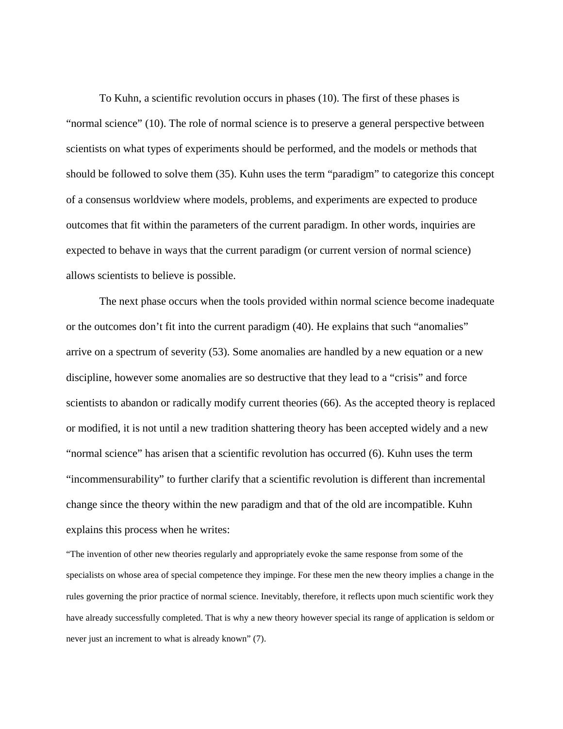To Kuhn, a scientific revolution occurs in phases (10). The first of these phases is "normal science" (10). The role of normal science is to preserve a general perspective between scientists on what types of experiments should be performed, and the models or methods that should be followed to solve them (35). Kuhn uses the term "paradigm" to categorize this concept of a consensus worldview where models, problems, and experiments are expected to produce outcomes that fit within the parameters of the current paradigm. In other words, inquiries are expected to behave in ways that the current paradigm (or current version of normal science) allows scientists to believe is possible.

The next phase occurs when the tools provided within normal science become inadequate or the outcomes don't fit into the current paradigm (40). He explains that such "anomalies" arrive on a spectrum of severity (53). Some anomalies are handled by a new equation or a new discipline, however some anomalies are so destructive that they lead to a "crisis" and force scientists to abandon or radically modify current theories (66). As the accepted theory is replaced or modified, it is not until a new tradition shattering theory has been accepted widely and a new "normal science" has arisen that a scientific revolution has occurred (6). Kuhn uses the term "incommensurability" to further clarify that a scientific revolution is different than incremental change since the theory within the new paradigm and that of the old are incompatible. Kuhn explains this process when he writes:

"The invention of other new theories regularly and appropriately evoke the same response from some of the specialists on whose area of special competence they impinge. For these men the new theory implies a change in the rules governing the prior practice of normal science. Inevitably, therefore, it reflects upon much scientific work they have already successfully completed. That is why a new theory however special its range of application is seldom or never just an increment to what is already known" (7).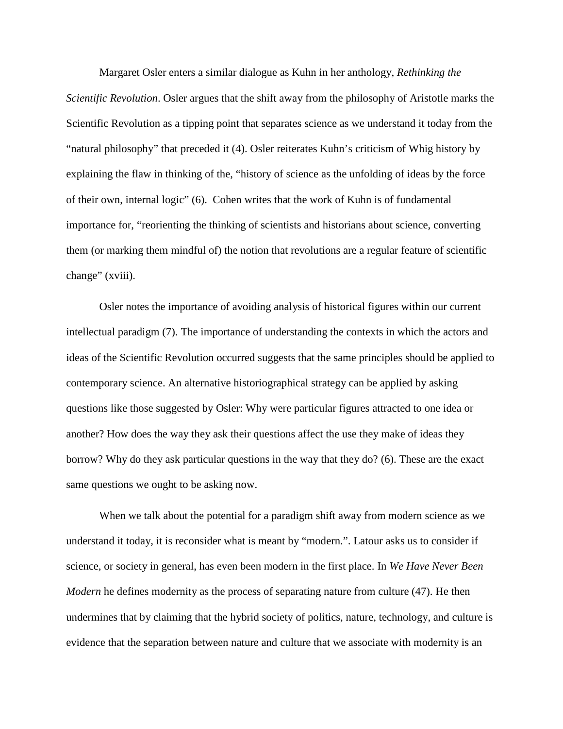Margaret Osler enters a similar dialogue as Kuhn in her anthology, *Rethinking the Scientific Revolution*. Osler argues that the shift away from the philosophy of Aristotle marks the Scientific Revolution as a tipping point that separates science as we understand it today from the "natural philosophy" that preceded it (4). Osler reiterates Kuhn's criticism of Whig history by explaining the flaw in thinking of the, "history of science as the unfolding of ideas by the force of their own, internal logic" (6). Cohen writes that the work of Kuhn is of fundamental importance for, "reorienting the thinking of scientists and historians about science, converting them (or marking them mindful of) the notion that revolutions are a regular feature of scientific change" (xviii).

Osler notes the importance of avoiding analysis of historical figures within our current intellectual paradigm (7). The importance of understanding the contexts in which the actors and ideas of the Scientific Revolution occurred suggests that the same principles should be applied to contemporary science. An alternative historiographical strategy can be applied by asking questions like those suggested by Osler: Why were particular figures attracted to one idea or another? How does the way they ask their questions affect the use they make of ideas they borrow? Why do they ask particular questions in the way that they do? (6). These are the exact same questions we ought to be asking now.

When we talk about the potential for a paradigm shift away from modern science as we understand it today, it is reconsider what is meant by "modern.". Latour asks us to consider if science, or society in general, has even been modern in the first place. In *We Have Never Been Modern* he defines modernity as the process of separating nature from culture (47). He then undermines that by claiming that the hybrid society of politics, nature, technology, and culture is evidence that the separation between nature and culture that we associate with modernity is an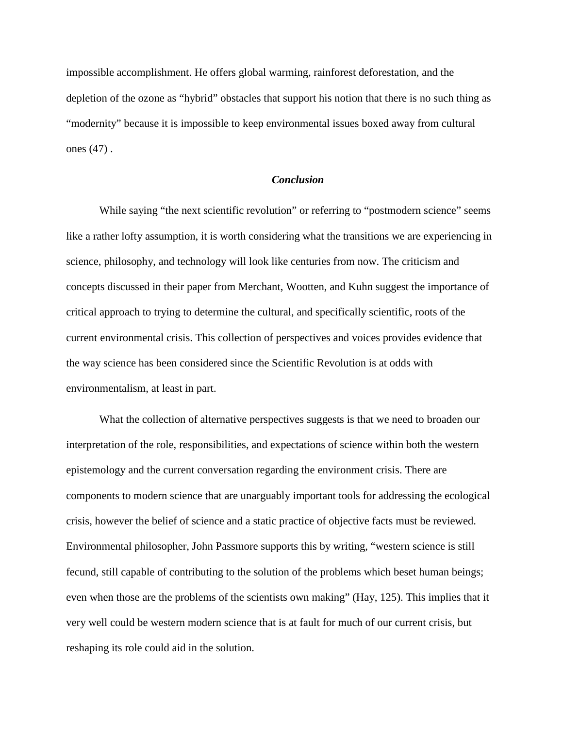impossible accomplishment. He offers global warming, rainforest deforestation, and the depletion of the ozone as "hybrid" obstacles that support his notion that there is no such thing as "modernity" because it is impossible to keep environmental issues boxed away from cultural ones (47) .

#### *Conclusion*

While saying "the next scientific revolution" or referring to "postmodern science" seems like a rather lofty assumption, it is worth considering what the transitions we are experiencing in science, philosophy, and technology will look like centuries from now. The criticism and concepts discussed in their paper from Merchant, Wootten, and Kuhn suggest the importance of critical approach to trying to determine the cultural, and specifically scientific, roots of the current environmental crisis. This collection of perspectives and voices provides evidence that the way science has been considered since the Scientific Revolution is at odds with environmentalism, at least in part.

What the collection of alternative perspectives suggests is that we need to broaden our interpretation of the role, responsibilities, and expectations of science within both the western epistemology and the current conversation regarding the environment crisis. There are components to modern science that are unarguably important tools for addressing the ecological crisis, however the belief of science and a static practice of objective facts must be reviewed. Environmental philosopher, John Passmore supports this by writing, "western science is still fecund, still capable of contributing to the solution of the problems which beset human beings; even when those are the problems of the scientists own making" (Hay, 125). This implies that it very well could be western modern science that is at fault for much of our current crisis, but reshaping its role could aid in the solution.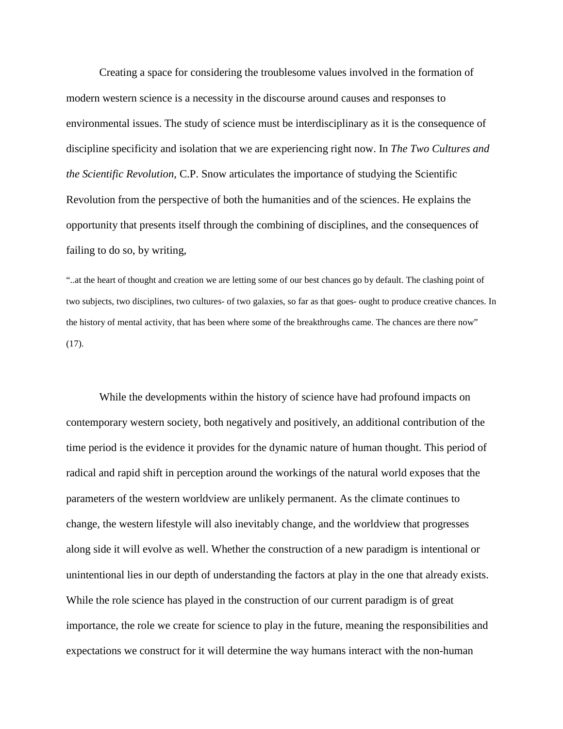Creating a space for considering the troublesome values involved in the formation of modern western science is a necessity in the discourse around causes and responses to environmental issues. The study of science must be interdisciplinary as it is the consequence of discipline specificity and isolation that we are experiencing right now. In *The Two Cultures and the Scientific Revolution,* C.P. Snow articulates the importance of studying the Scientific Revolution from the perspective of both the humanities and of the sciences. He explains the opportunity that presents itself through the combining of disciplines, and the consequences of failing to do so, by writing,

"..at the heart of thought and creation we are letting some of our best chances go by default. The clashing point of two subjects, two disciplines, two cultures- of two galaxies, so far as that goes- ought to produce creative chances. In the history of mental activity, that has been where some of the breakthroughs came. The chances are there now"  $(17)$ .

While the developments within the history of science have had profound impacts on contemporary western society, both negatively and positively, an additional contribution of the time period is the evidence it provides for the dynamic nature of human thought. This period of radical and rapid shift in perception around the workings of the natural world exposes that the parameters of the western worldview are unlikely permanent. As the climate continues to change, the western lifestyle will also inevitably change, and the worldview that progresses along side it will evolve as well. Whether the construction of a new paradigm is intentional or unintentional lies in our depth of understanding the factors at play in the one that already exists. While the role science has played in the construction of our current paradigm is of great importance, the role we create for science to play in the future, meaning the responsibilities and expectations we construct for it will determine the way humans interact with the non-human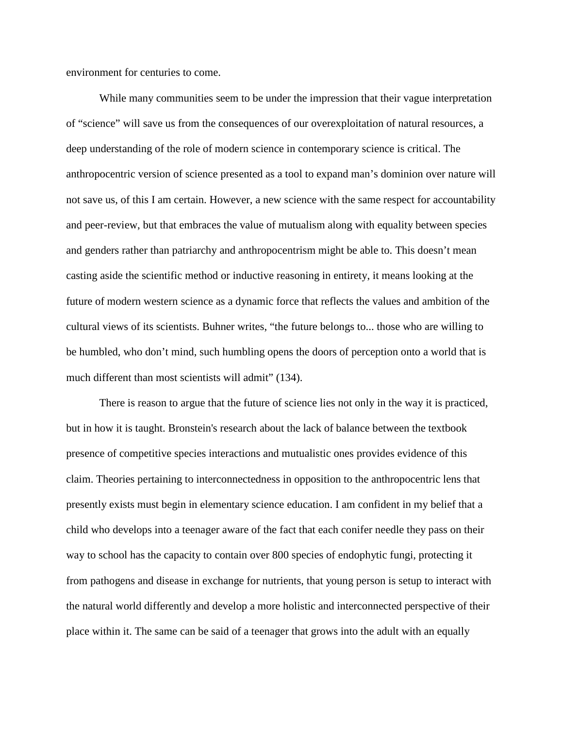environment for centuries to come.

While many communities seem to be under the impression that their vague interpretation of "science" will save us from the consequences of our overexploitation of natural resources, a deep understanding of the role of modern science in contemporary science is critical. The anthropocentric version of science presented as a tool to expand man's dominion over nature will not save us, of this I am certain. However, a new science with the same respect for accountability and peer-review, but that embraces the value of mutualism along with equality between species and genders rather than patriarchy and anthropocentrism might be able to. This doesn't mean casting aside the scientific method or inductive reasoning in entirety, it means looking at the future of modern western science as a dynamic force that reflects the values and ambition of the cultural views of its scientists. Buhner writes, "the future belongs to... those who are willing to be humbled, who don't mind, such humbling opens the doors of perception onto a world that is much different than most scientists will admit" (134).

There is reason to argue that the future of science lies not only in the way it is practiced, but in how it is taught. Bronstein's research about the lack of balance between the textbook presence of competitive species interactions and mutualistic ones provides evidence of this claim. Theories pertaining to interconnectedness in opposition to the anthropocentric lens that presently exists must begin in elementary science education. I am confident in my belief that a child who develops into a teenager aware of the fact that each conifer needle they pass on their way to school has the capacity to contain over 800 species of endophytic fungi, protecting it from pathogens and disease in exchange for nutrients, that young person is setup to interact with the natural world differently and develop a more holistic and interconnected perspective of their place within it. The same can be said of a teenager that grows into the adult with an equally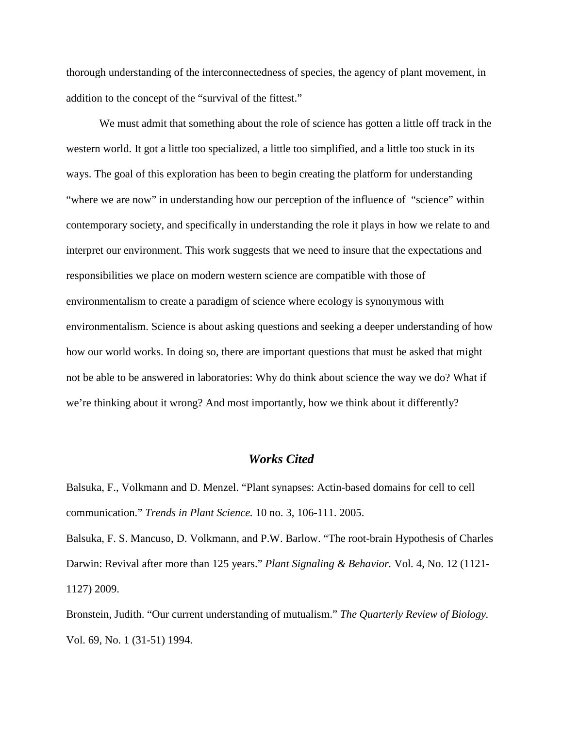thorough understanding of the interconnectedness of species, the agency of plant movement, in addition to the concept of the "survival of the fittest."

We must admit that something about the role of science has gotten a little off track in the western world. It got a little too specialized, a little too simplified, and a little too stuck in its ways. The goal of this exploration has been to begin creating the platform for understanding "where we are now" in understanding how our perception of the influence of "science" within contemporary society, and specifically in understanding the role it plays in how we relate to and interpret our environment. This work suggests that we need to insure that the expectations and responsibilities we place on modern western science are compatible with those of environmentalism to create a paradigm of science where ecology is synonymous with environmentalism. Science is about asking questions and seeking a deeper understanding of how how our world works. In doing so, there are important questions that must be asked that might not be able to be answered in laboratories: Why do think about science the way we do? What if we're thinking about it wrong? And most importantly, how we think about it differently?

## *Works Cited*

Balsuka, F., Volkmann and D. Menzel. "Plant synapses: Actin-based domains for cell to cell communication." *Trends in Plant Science.* 10 no. 3, 106-111. 2005.

Balsuka, F. S. Mancuso, D. Volkmann, and P.W. Barlow. "The root-brain Hypothesis of Charles Darwin: Revival after more than 125 years." *Plant Signaling & Behavior.* Vol*.* 4, No. 12 (1121- 1127) 2009.

Bronstein, Judith. "Our current understanding of mutualism." *The Quarterly Review of Biology.* Vol. 69, No. 1 (31-51) 1994.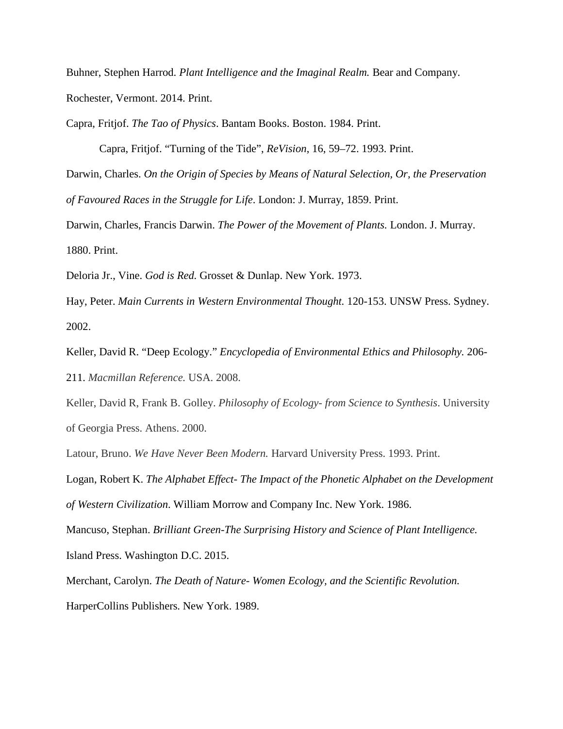Buhner, Stephen Harrod. *Plant Intelligence and the Imaginal Realm.* Bear and Company. Rochester, Vermont. 2014. Print.

Capra, Fritjof. *The Tao of Physics*. Bantam Books. Boston. 1984. Print.

Capra, Fritjof. "Turning of the Tide", *ReVision*, 16, 59–72. 1993. Print. Darwin, Charles. *On the Origin of Species by Means of Natural Selection, Or, the Preservation of Favoured Races in the Struggle for Life*. London: J. Murray, 1859. Print.

Darwin, Charles, Francis Darwin. *The Power of the Movement of Plants.* London. J. Murray. 1880. Print.

Deloria Jr., Vine. *God is Red.* Grosset & Dunlap. New York. 1973.

Hay, Peter. *Main Currents in Western Environmental Thought.* 120-153. UNSW Press. Sydney. 2002.

Keller, David R. "Deep Ecology." *Encyclopedia of Environmental Ethics and Philosophy.* 206- 211. *Macmillan Reference.* USA. 2008.

Keller, David R, Frank B. Golley. *Philosophy of Ecology- from Science to Synthesis*. University of Georgia Press. Athens. 2000.

Latour, Bruno. *We Have Never Been Modern.* Harvard University Press. 1993. Print.

Logan, Robert K. *The Alphabet Effect- The Impact of the Phonetic Alphabet on the Development of Western Civilization*. William Morrow and Company Inc. New York. 1986.

Mancuso, Stephan. *Brilliant Green-The Surprising History and Science of Plant Intelligence.* Island Press. Washington D.C. 2015.

Merchant, Carolyn. *The Death of Nature- Women Ecology, and the Scientific Revolution.* HarperCollins Publishers. New York. 1989.